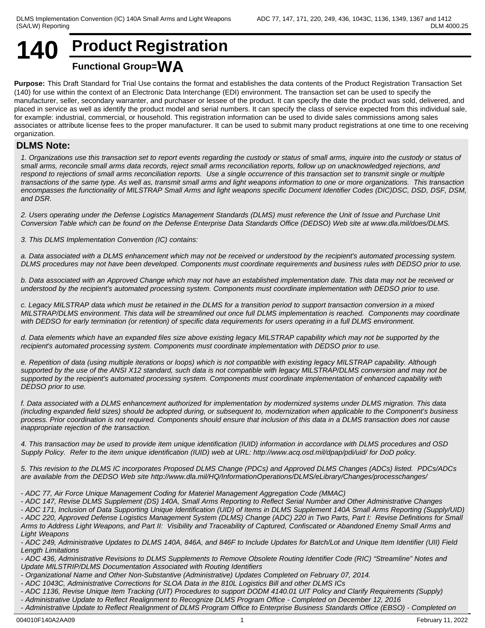# **140 Product Registration Functional Group=WA**

**Purpose:** This Draft Standard for Trial Use contains the format and establishes the data contents of the Product Registration Transaction Set (140) for use within the context of an Electronic Data Interchange (EDI) environment. The transaction set can be used to specify the manufacturer, seller, secondary warranter, and purchaser or lessee of the product. It can specify the date the product was sold, delivered, and placed in service as well as identify the product model and serial numbers. It can specify the class of service expected from this individual sale, for example: industrial, commercial, or household. This registration information can be used to divide sales commissions among sales associates or attribute license fees to the proper manufacturer. It can be used to submit many product registrations at one time to one receiving organization.

# **DLMS Note:**

*1. Organizations use this transaction set to report events regarding the custody or status of small arms, inquire into the custody or status of small arms, reconcile small arms data records, reject small arms reconciliation reports, follow up on unacknowledged rejections, and respond to rejections of small arms reconciliation reports. Use a single occurrence of this transaction set to transmit single or multiple transactions of the same type. As well as, transmit small arms and light weapons information to one or more organizations. This transaction encompasses the functionality of MILSTRAP Small Arms and light weapons specific Document Identifier Codes (DIC)DSC, DSD, DSF, DSM, and DSR.*

*2. Users operating under the Defense Logistics Management Standards (DLMS) must reference the Unit of Issue and Purchase Unit Conversion Table which can be found on the Defense Enterprise Data Standards Office (DEDSO) Web site at www.dla.mil/does/DLMS.*

*3. This DLMS Implementation Convention (IC) contains:*

*a. Data associated with a DLMS enhancement which may not be received or understood by the recipient's automated processing system. DLMS procedures may not have been developed. Components must coordinate requirements and business rules with DEDSO prior to use.*

*b. Data associated with an Approved Change which may not have an established implementation date. This data may not be received or understood by the recipient's automated processing system. Components must coordinate implementation with DEDSO prior to use.*

*c. Legacy MILSTRAP data which must be retained in the DLMS for a transition period to support transaction conversion in a mixed MILSTRAP/DLMS environment. This data will be streamlined out once full DLMS implementation is reached. Components may coordinate with DEDSO for early termination (or retention) of specific data requirements for users operating in a full DLMS environment.*

*d. Data elements which have an expanded files size above existing legacy MILSTRAP capability which may not be supported by the recipient's automated processing system. Components must coordinate implementation with DEDSO prior to use.*

*e. Repetition of data (using multiple iterations or loops) which is not compatible with existing legacy MILSTRAP capability. Although supported by the use of the ANSI X12 standard, such data is not compatible with legacy MILSTRAP/DLMS conversion and may not be supported by the recipient's automated processing system. Components must coordinate implementation of enhanced capability with DEDSO prior to use.*

*f. Data associated with a DLMS enhancement authorized for implementation by modernized systems under DLMS migration. This data (including expanded field sizes) should be adopted during, or subsequent to, modernization when applicable to the Component's business process. Prior coordination is not required. Components should ensure that inclusion of this data in a DLMS transaction does not cause inappropriate rejection of the transaction.*

*4. This transaction may be used to provide item unique identification (IUID) information in accordance with DLMS procedures and OSD Supply Policy. Refer to the item unique identification (IUID) web at URL: http://www.acq.osd.mil/dpap/pdi/uid/ for DoD policy.* 

*5. This revision to the DLMS IC incorporates Proposed DLMS Change (PDCs) and Approved DLMS Changes (ADCs) listed. PDCs/ADCs are available from the DEDSO Web site http://www.dla.mil/HQ/InformationOperations/DLMS/eLibrary/Changes/processchanges/*

*- ADC 77, Air Force Unique Management Coding for Materiel Management Aggregation Code (MMAC)*

*- ADC 147, Revise DLMS Supplement (DS) 140A, Small Arms Reporting to Reflect Serial Number and Other Administrative Changes*

*- ADC 171, Inclusion of Data Supporting Unique Identification (UID) of Items in DLMS Supplement 140A Small Arms Reporting (Supply/UID) - ADC 220, Approved Defense Logistics Management System (DLMS) Change (ADC) 220 in Two Parts, Part I: Revise Definitions for Small Arms to Address Light Weapons, and Part II: Visibility and Traceability of Captured, Confiscated or Abandoned Enemy Small Arms and Light Weapons*

*- ADC 436, Administrative Revisions to DLMS Supplements to Remove Obsolete Routing Identifier Code (RIC) "Streamline" Notes and Update MILSTRIP/DLMS Documentation Associated with Routing Identifiers*

*- Organizational Name and Other Non-Substantive (Administrative) Updates Completed on February 07, 2014.*

*- ADC 1043C, Administrative Corrections for SLOA Data in the 810L Logistics Bill and other DLMS ICs*

*- ADC 1136, Revise Unique Item Tracking (UIT) Procedures to support DODM 4140.01 UIT Policy and Clarify Requirements (Supply)*

*- Administrative Update to Reflect Realignment to Recognize DLMS Program Office - Completed on December 12, 2016*

*- Administrative Update to Reflect Realignment of DLMS Program Office to Enterprise Business Standards Office (EBSO) - Completed on* 

*<sup>-</sup> ADC 249, Administrative Updates to DLMS 140A, 846A, and 846F to Include Updates for Batch/Lot and Unique Item Identifier (UII) Field Length Limitations*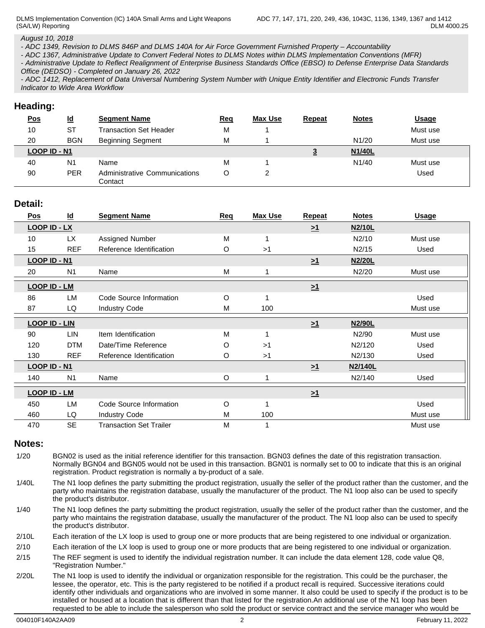DLMS Implementation Convention (IC) 140A Small Arms and Light Weapons (SA/LW) Reporting

*August 10, 2018*

*- ADC 1349, Revision to DLMS 846P and DLMS 140A for Air Force Government Furnished Property – Accountability*

*- ADC 1367, Administrative Update to Convert Federal Notes to DLMS Notes within DLMS Implementation Conventions (MFR)*

*- Administrative Update to Reflect Realignment of Enterprise Business Standards Office (EBSO) to Defense Enterprise Data Standards Office (DEDSO) - Completed on January 26, 2022*

*- ADC 1412, Replacement of Data Universal Numbering System Number with Unique Entity Identifier and Electronic Funds Transfer Indicator to Wide Area Workflow*

# **Heading:**

| <u>Pos</u>   | $\underline{\mathsf{Id}}$ | <b>Segment Name</b>                      | <u>Req</u> | <b>Max Use</b> | <b>Repeat</b> | <b>Notes</b>       | <b>Usage</b> |
|--------------|---------------------------|------------------------------------------|------------|----------------|---------------|--------------------|--------------|
| 10           | <b>ST</b>                 | Transaction Set Header                   | М          |                |               |                    | Must use     |
| 20           | <b>BGN</b>                | <b>Beginning Segment</b>                 | М          |                |               | N1/20              | Must use     |
| LOOP ID - N1 |                           |                                          |            |                | <u>ت</u>      | <b>N1/40L</b>      |              |
| 40           | N <sub>1</sub>            | Name                                     | Μ          |                |               | N <sub>1</sub> /40 | Must use     |
| 90           | <b>PER</b>                | Administrative Communications<br>Contact | С          |                |               |                    | Used         |

# **Detail:**

| <u>Pos</u>           | $\underline{\mathsf{Id}}$ | <b>Segment Name</b>            | Req     | <b>Max Use</b> | Repeat   | <b>Notes</b>  | <b>Usage</b> |
|----------------------|---------------------------|--------------------------------|---------|----------------|----------|---------------|--------------|
| <b>LOOP ID - LX</b>  |                           |                                |         |                | $\geq 1$ | N2/10L        |              |
| 10                   | LX.                       | Assigned Number                | M       |                |          | N2/10         | Must use     |
| 15                   | <b>REF</b>                | Reference Identification       | O       | >1             |          | N2/15         | Used         |
| LOOP ID - N1         |                           |                                |         |                | $\geq 1$ | <b>N2/20L</b> |              |
| 20                   | N <sub>1</sub>            | Name                           | M       |                |          | N2/20         | Must use     |
| <b>LOOP ID - LM</b>  |                           |                                |         |                | $\geq 1$ |               |              |
| 86                   | <b>LM</b>                 | Code Source Information        | O       |                |          |               | Used         |
| 87                   | LQ                        | <b>Industry Code</b>           | M       | 100            |          |               | Must use     |
| <b>LOOP ID - LIN</b> |                           |                                |         |                | $\geq 1$ | N2/90L        |              |
| 90                   | LIN                       | Item Identification            | M       | 1              |          | N2/90         | Must use     |
| 120                  | <b>DTM</b>                | Date/Time Reference            | $\circ$ | >1             |          | N2/120        | Used         |
| 130                  | <b>REF</b>                | Reference Identification       | O       | >1             |          | N2/130        | Used         |
| LOOP ID - N1         |                           |                                |         |                | $\geq 1$ | N2/140L       |              |
| 140                  | N <sub>1</sub>            | Name                           | $\circ$ |                |          | N2/140        | Used         |
| <b>LOOP ID - LM</b>  |                           |                                |         |                | $\geq 1$ |               |              |
| 450                  | LM                        | Code Source Information        | O       | -1             |          |               | Used         |
| 460                  | LQ                        | <b>Industry Code</b>           | M       | 100            |          |               | Must use     |
| 470                  | <b>SE</b>                 | <b>Transaction Set Trailer</b> | M       |                |          |               | Must use     |

## **Notes:**

1/20 BGN02 is used as the initial reference identifier for this transaction. BGN03 defines the date of this registration transaction. Normally BGN04 and BGN05 would not be used in this transaction. BGN01 is normally set to 00 to indicate that this is an original registration. Product registration is normally a by-product of a sale.

1/40L The N1 loop defines the party submitting the product registration, usually the seller of the product rather than the customer, and the party who maintains the registration database, usually the manufacturer of the product. The N1 loop also can be used to specify the product's distributor.

1/40 The N1 loop defines the party submitting the product registration, usually the seller of the product rather than the customer, and the party who maintains the registration database, usually the manufacturer of the product. The N1 loop also can be used to specify the product's distributor.

2/10L Each iteration of the LX loop is used to group one or more products that are being registered to one individual or organization.

2/10 Each iteration of the LX loop is used to group one or more products that are being registered to one individual or organization.

- 2/15 The REF segment is used to identify the individual registration number. It can include the data element 128, code value Q8, "Registration Number."
- 2/20L The N1 loop is used to identify the individual or organization responsible for the registration. This could be the purchaser, the lessee, the operator, etc. This is the party registered to be notified if a product recall is required. Successive iterations could identify other individuals and organizations who are involved in some manner. It also could be used to specify if the product is to be installed or housed at a location that is different than that listed for the registration.An additional use of the N1 loop has been requested to be able to include the salesperson who sold the product or service contract and the service manager who would be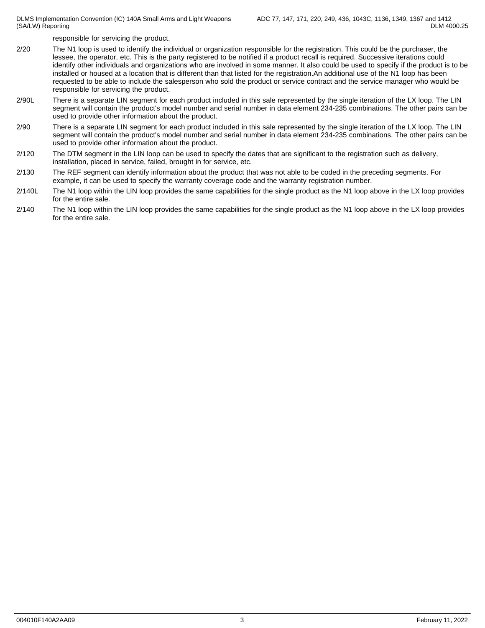DLMS Implementation Convention (IC) 140A Small Arms and Light Weapons (SA/LW) Reporting

responsible for servicing the product.

- 2/20 The N1 loop is used to identify the individual or organization responsible for the registration. This could be the purchaser, the lessee, the operator, etc. This is the party registered to be notified if a product recall is required. Successive iterations could identify other individuals and organizations who are involved in some manner. It also could be used to specify if the product is to be installed or housed at a location that is different than that listed for the registration.An additional use of the N1 loop has been requested to be able to include the salesperson who sold the product or service contract and the service manager who would be responsible for servicing the product.
- 2/90L There is a separate LIN segment for each product included in this sale represented by the single iteration of the LX loop. The LIN segment will contain the product's model number and serial number in data element 234-235 combinations. The other pairs can be used to provide other information about the product.
- 2/90 There is a separate LIN segment for each product included in this sale represented by the single iteration of the LX loop. The LIN segment will contain the product's model number and serial number in data element 234-235 combinations. The other pairs can be used to provide other information about the product.
- 2/120 The DTM segment in the LIN loop can be used to specify the dates that are significant to the registration such as delivery, installation, placed in service, failed, brought in for service, etc.
- 2/130 The REF segment can identify information about the product that was not able to be coded in the preceding segments. For example, it can be used to specify the warranty coverage code and the warranty registration number.
- 2/140L The N1 loop within the LIN loop provides the same capabilities for the single product as the N1 loop above in the LX loop provides for the entire sale.
- 2/140 The N1 loop within the LIN loop provides the same capabilities for the single product as the N1 loop above in the LX loop provides for the entire sale.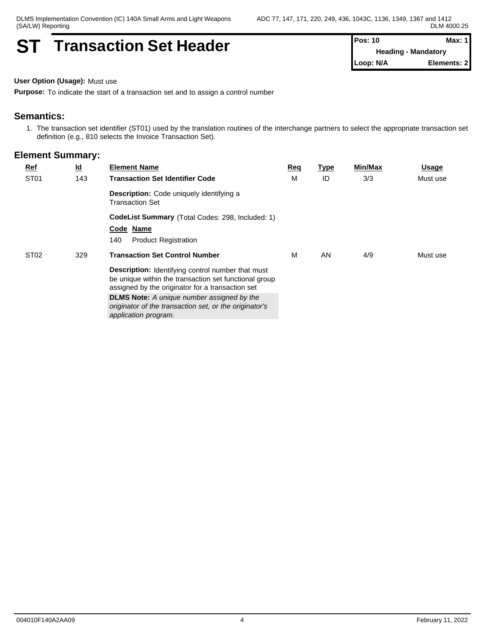# **ST Transaction Set Header Pos: 10 Pos: 10 Max:** Max:

**Heading - Mandatory Loop: N/A Elements: 2**

**User Option (Usage):** Must use

**Purpose:** To indicate the start of a transaction set and to assign a control number

# **Semantics:**

1. The transaction set identifier (ST01) used by the translation routines of the interchange partners to select the appropriate transaction set definition (e.g., 810 selects the Invoice Transaction Set).

| <b>Ref</b>       | $\underline{\mathsf{Id}}$ | <b>Element Name</b>                                                                                                                                                   | Req | <b>Type</b> | Min/Max | Usage    |
|------------------|---------------------------|-----------------------------------------------------------------------------------------------------------------------------------------------------------------------|-----|-------------|---------|----------|
| ST <sub>01</sub> | 143                       | <b>Transaction Set Identifier Code</b>                                                                                                                                | M   | ID          | 3/3     | Must use |
|                  |                           | <b>Description:</b> Code uniquely identifying a<br>Transaction Set                                                                                                    |     |             |         |          |
|                  |                           | <b>CodeList Summary</b> (Total Codes: 298, Included: 1)                                                                                                               |     |             |         |          |
|                  |                           | Code Name                                                                                                                                                             |     |             |         |          |
|                  |                           | <b>Product Registration</b><br>140                                                                                                                                    |     |             |         |          |
| ST <sub>02</sub> | 329                       | <b>Transaction Set Control Number</b>                                                                                                                                 | М   | AN          | 4/9     | Must use |
|                  |                           | <b>Description:</b> Identifying control number that must<br>be unique within the transaction set functional group<br>assigned by the originator for a transaction set |     |             |         |          |
|                  |                           | <b>DLMS Note:</b> A unique number assigned by the<br>originator of the transaction set, or the originator's<br>application program.                                   |     |             |         |          |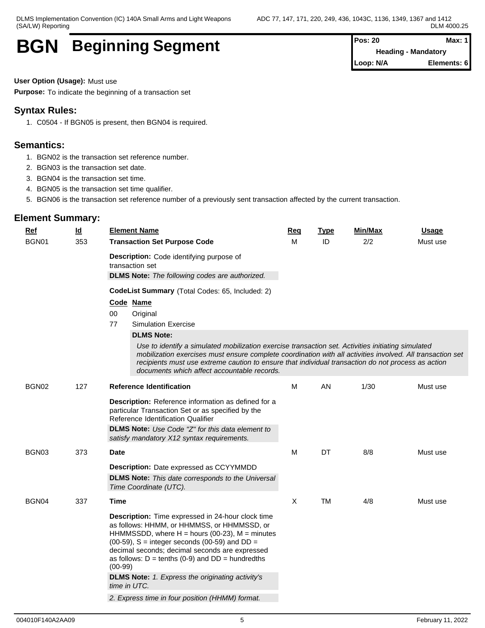# **BGN Beginning Segment Pos: 20 Pos: 20 Max:** Max:

**Heading - Mandatory Loop: N/A Elements: 6**

**User Option (Usage):** Must use

**Purpose:** To indicate the beginning of a transaction set

# **Syntax Rules:**

1. C0504 - If BGN05 is present, then BGN04 is required.

# **Semantics:**

- 1. BGN02 is the transaction set reference number.
- 2. BGN03 is the transaction set date.
- 3. BGN04 is the transaction set time.
- 4. BGN05 is the transaction set time qualifier.
- 5. BGN06 is the transaction set reference number of a previously sent transaction affected by the current transaction.

| Ref   | $\underline{\mathsf{Id}}$                                                                                                                                                                                                                                                                                                                                             | <b>Element Name</b>                                                                                                                                                                                                                                                                                                                              | Req | <b>Type</b> | Min/Max | <b>Usage</b> |
|-------|-----------------------------------------------------------------------------------------------------------------------------------------------------------------------------------------------------------------------------------------------------------------------------------------------------------------------------------------------------------------------|--------------------------------------------------------------------------------------------------------------------------------------------------------------------------------------------------------------------------------------------------------------------------------------------------------------------------------------------------|-----|-------------|---------|--------------|
| BGN01 | 353                                                                                                                                                                                                                                                                                                                                                                   | <b>Transaction Set Purpose Code</b>                                                                                                                                                                                                                                                                                                              | м   | ID          | 2/2     | Must use     |
|       |                                                                                                                                                                                                                                                                                                                                                                       | Description: Code identifying purpose of<br>transaction set                                                                                                                                                                                                                                                                                      |     |             |         |              |
|       |                                                                                                                                                                                                                                                                                                                                                                       | <b>DLMS Note:</b> The following codes are authorized.                                                                                                                                                                                                                                                                                            |     |             |         |              |
|       |                                                                                                                                                                                                                                                                                                                                                                       | CodeList Summary (Total Codes: 65, Included: 2)                                                                                                                                                                                                                                                                                                  |     |             |         |              |
|       |                                                                                                                                                                                                                                                                                                                                                                       | Code Name                                                                                                                                                                                                                                                                                                                                        |     |             |         |              |
|       |                                                                                                                                                                                                                                                                                                                                                                       | 00<br>Original                                                                                                                                                                                                                                                                                                                                   |     |             |         |              |
|       |                                                                                                                                                                                                                                                                                                                                                                       | 77<br><b>Simulation Exercise</b>                                                                                                                                                                                                                                                                                                                 |     |             |         |              |
|       |                                                                                                                                                                                                                                                                                                                                                                       | <b>DLMS Note:</b>                                                                                                                                                                                                                                                                                                                                |     |             |         |              |
|       | Use to identify a simulated mobilization exercise transaction set. Activities initiating simulated<br>mobilization exercises must ensure complete coordination with all activities involved. All transaction set<br>recipients must use extreme caution to ensure that individual transaction do not process as action<br>documents which affect accountable records. |                                                                                                                                                                                                                                                                                                                                                  |     |             |         |              |
| BGN02 | 127                                                                                                                                                                                                                                                                                                                                                                   | <b>Reference Identification</b>                                                                                                                                                                                                                                                                                                                  |     | AN          | 1/30    | Must use     |
|       |                                                                                                                                                                                                                                                                                                                                                                       | Description: Reference information as defined for a<br>particular Transaction Set or as specified by the<br>Reference Identification Qualifier<br>DLMS Note: Use Code "Z" for this data element to                                                                                                                                               |     |             |         |              |
|       |                                                                                                                                                                                                                                                                                                                                                                       | satisfy mandatory X12 syntax requirements.                                                                                                                                                                                                                                                                                                       | M   |             |         |              |
| BGN03 | 373                                                                                                                                                                                                                                                                                                                                                                   | <b>Date</b><br><b>Description:</b> Date expressed as CCYYMMDD                                                                                                                                                                                                                                                                                    |     | DT          | 8/8     | Must use     |
|       |                                                                                                                                                                                                                                                                                                                                                                       |                                                                                                                                                                                                                                                                                                                                                  |     |             |         |              |
|       |                                                                                                                                                                                                                                                                                                                                                                       | <b>DLMS Note:</b> This date corresponds to the Universal<br>Time Coordinate (UTC).                                                                                                                                                                                                                                                               |     |             |         |              |
| BGN04 | 337                                                                                                                                                                                                                                                                                                                                                                   | Time                                                                                                                                                                                                                                                                                                                                             | X   | <b>TM</b>   | 4/8     | Must use     |
|       |                                                                                                                                                                                                                                                                                                                                                                       | Description: Time expressed in 24-hour clock time<br>as follows: HHMM, or HHMMSS, or HHMMSSD, or<br>HHMMSSDD, where $H =$ hours (00-23), $M =$ minutes<br>(00-59), $S =$ integer seconds (00-59) and $DD =$<br>decimal seconds; decimal seconds are expressed<br>as follows: $D = \text{tenths}$ (0-9) and $DD = \text{hundredths}$<br>$(00-99)$ |     |             |         |              |
|       |                                                                                                                                                                                                                                                                                                                                                                       | <b>DLMS Note:</b> 1. Express the originating activity's<br>time in UTC.                                                                                                                                                                                                                                                                          |     |             |         |              |
|       |                                                                                                                                                                                                                                                                                                                                                                       | 2. Express time in four position (HHMM) format.                                                                                                                                                                                                                                                                                                  |     |             |         |              |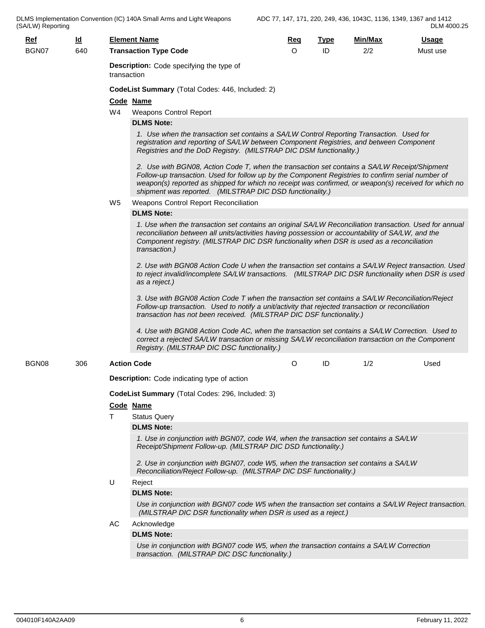DLMS Implementation Convention (IC) 140A Small Arms and Light Weapons (SA/LW) Reporting

| $Ref$ | $\underline{\mathsf{Id}}$ |                              | <b>Element Name</b>                                                                                                                                                                                                                                                                                                                                                   | Req | <b>Type</b>                      | Min/Max | <u>Usage</u> |  |  |  |  |  |
|-------|---------------------------|------------------------------|-----------------------------------------------------------------------------------------------------------------------------------------------------------------------------------------------------------------------------------------------------------------------------------------------------------------------------------------------------------------------|-----|----------------------------------|---------|--------------|--|--|--|--|--|
| BGN07 | 640                       | <b>Transaction Type Code</b> |                                                                                                                                                                                                                                                                                                                                                                       |     | ID<br>2/2<br>$\circ$<br>Must use |         |              |  |  |  |  |  |
|       |                           |                              | <b>Description:</b> Code specifying the type of<br>transaction                                                                                                                                                                                                                                                                                                        |     |                                  |         |              |  |  |  |  |  |
|       |                           |                              | CodeList Summary (Total Codes: 446, Included: 2)                                                                                                                                                                                                                                                                                                                      |     |                                  |         |              |  |  |  |  |  |
|       |                           |                              | Code Name                                                                                                                                                                                                                                                                                                                                                             |     |                                  |         |              |  |  |  |  |  |
|       |                           | W4                           | <b>Weapons Control Report</b>                                                                                                                                                                                                                                                                                                                                         |     |                                  |         |              |  |  |  |  |  |
|       |                           |                              | <b>DLMS Note:</b>                                                                                                                                                                                                                                                                                                                                                     |     |                                  |         |              |  |  |  |  |  |
|       |                           |                              | 1. Use when the transaction set contains a SA/LW Control Reporting Transaction. Used for                                                                                                                                                                                                                                                                              |     |                                  |         |              |  |  |  |  |  |
|       |                           |                              | registration and reporting of SA/LW between Component Registries, and between Component<br>Registries and the DoD Registry. (MILSTRAP DIC DSM functionality.)                                                                                                                                                                                                         |     |                                  |         |              |  |  |  |  |  |
|       |                           |                              | 2. Use with BGN08, Action Code T, when the transaction set contains a SA/LW Receipt/Shipment<br>Follow-up transaction. Used for follow up by the Component Registries to confirm serial number of<br>weapon(s) reported as shipped for which no receipt was confirmed, or weapon(s) received for which no<br>shipment was reported. (MILSTRAP DIC DSD functionality.) |     |                                  |         |              |  |  |  |  |  |
|       |                           |                              |                                                                                                                                                                                                                                                                                                                                                                       |     |                                  |         |              |  |  |  |  |  |
|       |                           | W5                           | Weapons Control Report Reconciliation<br><b>DLMS Note:</b>                                                                                                                                                                                                                                                                                                            |     |                                  |         |              |  |  |  |  |  |
|       |                           |                              |                                                                                                                                                                                                                                                                                                                                                                       |     |                                  |         |              |  |  |  |  |  |
|       |                           |                              | 1. Use when the transaction set contains an original SA/LW Reconciliation transaction. Used for annual<br>reconciliation between all units/activities having possession or accountability of SA/LW, and the<br>Component registry. (MILSTRAP DIC DSR functionality when DSR is used as a reconciliation<br>transaction.)                                              |     |                                  |         |              |  |  |  |  |  |
|       |                           |                              | 2. Use with BGN08 Action Code U when the transaction set contains a SA/LW Reject transaction. Used<br>to reject invalid/incomplete SA/LW transactions. (MILSTRAP DIC DSR functionality when DSR is used<br>as a reject.)                                                                                                                                              |     |                                  |         |              |  |  |  |  |  |
|       |                           |                              | 3. Use with BGN08 Action Code T when the transaction set contains a SA/LW Reconciliation/Reject<br>Follow-up transaction. Used to notify a unit/activity that rejected transaction or reconciliation<br>transaction has not been received. (MILSTRAP DIC DSF functionality.)                                                                                          |     |                                  |         |              |  |  |  |  |  |
|       |                           |                              | 4. Use with BGN08 Action Code AC, when the transaction set contains a SA/LW Correction. Used to<br>correct a rejected SA/LW transaction or missing SA/LW reconciliation transaction on the Component<br>Registry. (MILSTRAP DIC DSC functionality.)                                                                                                                   |     |                                  |         |              |  |  |  |  |  |
| BGN08 | 306                       |                              | <b>Action Code</b>                                                                                                                                                                                                                                                                                                                                                    | O   | ID                               | 1/2     | Used         |  |  |  |  |  |
|       |                           |                              | <b>Description:</b> Code indicating type of action                                                                                                                                                                                                                                                                                                                    |     |                                  |         |              |  |  |  |  |  |
|       |                           |                              | CodeList Summary (Total Codes: 296, Included: 3)                                                                                                                                                                                                                                                                                                                      |     |                                  |         |              |  |  |  |  |  |
|       |                           |                              | Code Name                                                                                                                                                                                                                                                                                                                                                             |     |                                  |         |              |  |  |  |  |  |
|       |                           | T                            | <b>Status Query</b>                                                                                                                                                                                                                                                                                                                                                   |     |                                  |         |              |  |  |  |  |  |
|       |                           |                              | <b>DLMS Note:</b>                                                                                                                                                                                                                                                                                                                                                     |     |                                  |         |              |  |  |  |  |  |
|       |                           |                              | 1. Use in conjunction with BGN07, code W4, when the transaction set contains a SA/LW                                                                                                                                                                                                                                                                                  |     |                                  |         |              |  |  |  |  |  |
|       |                           |                              | Receipt/Shipment Follow-up. (MILSTRAP DIC DSD functionality.)<br>2. Use in conjunction with BGN07, code W5, when the transaction set contains a SA/LW                                                                                                                                                                                                                 |     |                                  |         |              |  |  |  |  |  |
|       |                           |                              | Reconciliation/Reject Follow-up. (MILSTRAP DIC DSF functionality.)                                                                                                                                                                                                                                                                                                    |     |                                  |         |              |  |  |  |  |  |
|       |                           | U                            | Reject                                                                                                                                                                                                                                                                                                                                                                |     |                                  |         |              |  |  |  |  |  |
|       |                           |                              | <b>DLMS Note:</b>                                                                                                                                                                                                                                                                                                                                                     |     |                                  |         |              |  |  |  |  |  |
|       |                           |                              | Use in conjunction with BGN07 code W5 when the transaction set contains a SA/LW Reject transaction.<br>(MILSTRAP DIC DSR functionality when DSR is used as a reject.)                                                                                                                                                                                                 |     |                                  |         |              |  |  |  |  |  |
|       |                           | AC.                          | Acknowledge                                                                                                                                                                                                                                                                                                                                                           |     |                                  |         |              |  |  |  |  |  |
|       |                           |                              | <b>DLMS Note:</b>                                                                                                                                                                                                                                                                                                                                                     |     |                                  |         |              |  |  |  |  |  |
|       |                           |                              | Use in conjunction with BGN07 code W5, when the transaction contains a SA/LW Correction<br>transaction. (MILSTRAP DIC DSC functionality.)                                                                                                                                                                                                                             |     |                                  |         |              |  |  |  |  |  |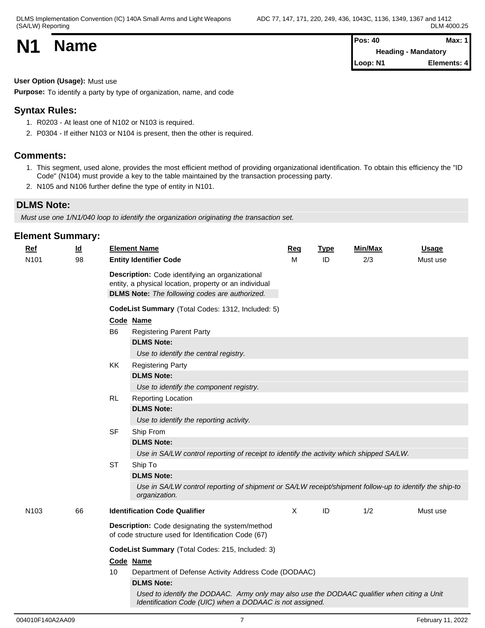| <b>N1</b> | <b>Name</b> | <b>Pos: 40</b><br>Heading · | <b>Max: 1</b><br>- Mandatory |
|-----------|-------------|-----------------------------|------------------------------|
|           |             | Loop: N1                    | Elements: 4                  |

**User Option (Usage):** Must use

**Purpose:** To identify a party by type of organization, name, and code

# **Syntax Rules:**

- 1. R0203 At least one of N102 or N103 is required.
- 2. P0304 If either N103 or N104 is present, then the other is required.

## **Comments:**

- 1. This segment, used alone, provides the most efficient method of providing organizational identification. To obtain this efficiency the "ID Code" (N104) must provide a key to the table maintained by the transaction processing party.
- 2. N105 and N106 further define the type of entity in N101.

# **DLMS Note:**

*Must use one 1/N1/040 loop to identify the organization originating the transaction set.*

| <b>Element Summary:</b> |  |
|-------------------------|--|
|-------------------------|--|

| <b>Ref</b><br>N101 | $\underline{\mathsf{Id}}$<br>98 |                | <b>Element Name</b><br><b>Entity Identifier Code</b>                                                                                                               | Req<br>м     | <b>Type</b><br>ID | <b>Min/Max</b><br>2/3 | <b>Usage</b><br>Must use |
|--------------------|---------------------------------|----------------|--------------------------------------------------------------------------------------------------------------------------------------------------------------------|--------------|-------------------|-----------------------|--------------------------|
|                    |                                 |                | Description: Code identifying an organizational<br>entity, a physical location, property or an individual<br><b>DLMS Note:</b> The following codes are authorized. |              |                   |                       |                          |
|                    |                                 |                | CodeList Summary (Total Codes: 1312, Included: 5)                                                                                                                  |              |                   |                       |                          |
|                    |                                 | Code Name      |                                                                                                                                                                    |              |                   |                       |                          |
|                    |                                 | B <sub>6</sub> | <b>Registering Parent Party</b>                                                                                                                                    |              |                   |                       |                          |
|                    |                                 |                | <b>DLMS Note:</b>                                                                                                                                                  |              |                   |                       |                          |
|                    |                                 |                | Use to identify the central registry.                                                                                                                              |              |                   |                       |                          |
|                    | 66                              | KK             | <b>Registering Party</b>                                                                                                                                           |              |                   |                       |                          |
|                    |                                 |                | <b>DLMS Note:</b>                                                                                                                                                  |              |                   |                       |                          |
|                    |                                 |                | Use to identify the component registry.                                                                                                                            |              |                   |                       |                          |
|                    |                                 | RL             | Reporting Location                                                                                                                                                 |              |                   |                       |                          |
|                    |                                 |                | <b>DLMS Note:</b>                                                                                                                                                  |              |                   |                       |                          |
|                    |                                 |                | Use to identify the reporting activity.                                                                                                                            |              |                   |                       |                          |
|                    |                                 | <b>SF</b>      | Ship From                                                                                                                                                          |              |                   |                       |                          |
|                    |                                 |                | <b>DLMS Note:</b>                                                                                                                                                  |              |                   |                       |                          |
|                    |                                 |                | Use in SA/LW control reporting of receipt to identify the activity which shipped SA/LW.                                                                            |              |                   |                       |                          |
|                    |                                 | <b>ST</b>      | Ship To                                                                                                                                                            |              |                   |                       |                          |
|                    |                                 |                | <b>DLMS Note:</b>                                                                                                                                                  |              |                   |                       |                          |
|                    |                                 |                | Use in SA/LW control reporting of shipment or SA/LW receipt/shipment follow-up to identify the ship-to<br>organization.                                            |              |                   |                       |                          |
| N103               |                                 |                | <b>Identification Code Qualifier</b>                                                                                                                               | $\mathsf{X}$ | ID                | 1/2                   | Must use                 |
|                    |                                 |                | Description: Code designating the system/method<br>of code structure used for Identification Code (67)                                                             |              |                   |                       |                          |
|                    |                                 |                | CodeList Summary (Total Codes: 215, Included: 3)                                                                                                                   |              |                   |                       |                          |
|                    |                                 |                | Code Name                                                                                                                                                          |              |                   |                       |                          |
|                    |                                 | 10             | Department of Defense Activity Address Code (DODAAC)                                                                                                               |              |                   |                       |                          |
|                    |                                 |                | <b>DLMS Note:</b>                                                                                                                                                  |              |                   |                       |                          |
|                    |                                 |                | Used to identify the DODAAC. Army only may also use the DODAAC qualifier when citing a Unit<br>Identification Code (UIC) when a DODAAC is not assigned.            |              |                   |                       |                          |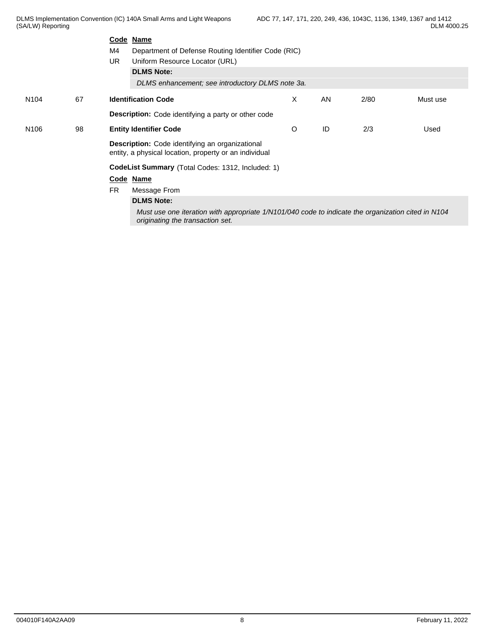DLMS Implementation Convention (IC) 140A Small Arms and Light Weapons (SA/LW) Reporting

|                  |    | Code Name                                                                                                                              |   |    |      |          |  |  |  |
|------------------|----|----------------------------------------------------------------------------------------------------------------------------------------|---|----|------|----------|--|--|--|
|                  |    | M4<br>Department of Defense Routing Identifier Code (RIC)                                                                              |   |    |      |          |  |  |  |
|                  |    | <b>UR</b><br>Uniform Resource Locator (URL)                                                                                            |   |    |      |          |  |  |  |
|                  |    | <b>DLMS Note:</b>                                                                                                                      |   |    |      |          |  |  |  |
|                  |    | DLMS enhancement; see introductory DLMS note 3a.                                                                                       |   |    |      |          |  |  |  |
| N <sub>104</sub> | 67 | <b>Identification Code</b>                                                                                                             | X | AN | 2/80 | Must use |  |  |  |
|                  |    | <b>Description:</b> Code identifying a party or other code                                                                             |   |    |      |          |  |  |  |
| N <sub>106</sub> | 98 | <b>Entity Identifier Code</b>                                                                                                          | O | ID | 2/3  | Used     |  |  |  |
|                  |    | Description: Code identifying an organizational<br>entity, a physical location, property or an individual                              |   |    |      |          |  |  |  |
|                  |    | CodeList Summary (Total Codes: 1312, Included: 1)                                                                                      |   |    |      |          |  |  |  |
|                  |    | Code Name                                                                                                                              |   |    |      |          |  |  |  |
|                  |    | <b>FR</b><br>Message From                                                                                                              |   |    |      |          |  |  |  |
|                  |    | <b>DLMS Note:</b>                                                                                                                      |   |    |      |          |  |  |  |
|                  |    | Must use one iteration with appropriate 1/N101/040 code to indicate the organization cited in N104<br>originating the transaction set. |   |    |      |          |  |  |  |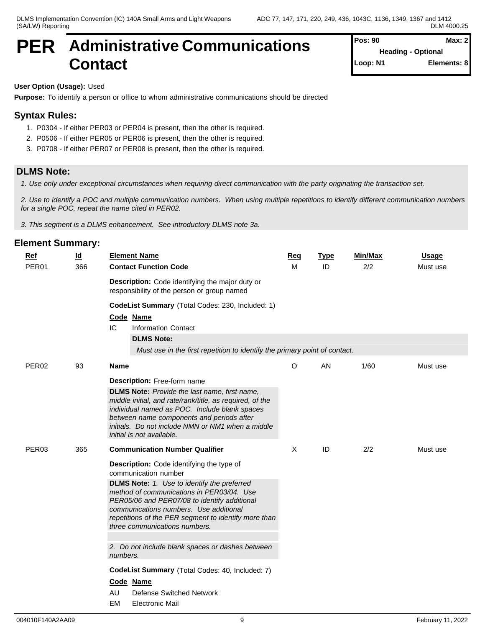# **PER** Administrative Communications Pos: 90 **Contact**

**Pos: 90 Max: 2 Heading - Optional Loop: N1 Elements: 8**

# **User Option (Usage):** Used

**Purpose:** To identify a person or office to whom administrative communications should be directed

# **Syntax Rules:**

- 1. P0304 If either PER03 or PER04 is present, then the other is required.
- 2. P0506 If either PER05 or PER06 is present, then the other is required.
- 3. P0708 If either PER07 or PER08 is present, then the other is required.

# **DLMS Note:**

*1. Use only under exceptional circumstances when requiring direct communication with the party originating the transaction set.*

*2. Use to identify a POC and multiple communication numbers. When using multiple repetitions to identify different communication numbers for a single POC, repeat the name cited in PER02.*

*3. This segment is a DLMS enhancement. See introductory DLMS note 3a.*

# **Element Summary:**

| Ref               | $\underline{\mathsf{Id}}$ | <b>Element Name</b>                                                                                                                                                                                                                                                                              | Req                                                                        | <b>Type</b> | <b>Min/Max</b> | <b>Usage</b> |  |  |  |  |
|-------------------|---------------------------|--------------------------------------------------------------------------------------------------------------------------------------------------------------------------------------------------------------------------------------------------------------------------------------------------|----------------------------------------------------------------------------|-------------|----------------|--------------|--|--|--|--|
| PER01             | 366                       | <b>Contact Function Code</b>                                                                                                                                                                                                                                                                     |                                                                            | ID          | 2/2            | Must use     |  |  |  |  |
|                   |                           | Description: Code identifying the major duty or<br>responsibility of the person or group named                                                                                                                                                                                                   |                                                                            |             |                |              |  |  |  |  |
|                   |                           | CodeList Summary (Total Codes: 230, Included: 1)                                                                                                                                                                                                                                                 |                                                                            |             |                |              |  |  |  |  |
|                   |                           | Code Name<br>IC<br><b>Information Contact</b>                                                                                                                                                                                                                                                    |                                                                            |             |                |              |  |  |  |  |
|                   |                           | <b>DLMS Note:</b>                                                                                                                                                                                                                                                                                |                                                                            |             |                |              |  |  |  |  |
|                   |                           |                                                                                                                                                                                                                                                                                                  | Must use in the first repetition to identify the primary point of contact. |             |                |              |  |  |  |  |
| PER <sub>02</sub> | 93                        | <b>Name</b>                                                                                                                                                                                                                                                                                      | $\circ$                                                                    | AN          | 1/60           | Must use     |  |  |  |  |
|                   |                           | <b>Description:</b> Free-form name                                                                                                                                                                                                                                                               |                                                                            |             |                |              |  |  |  |  |
|                   |                           | <b>DLMS Note:</b> Provide the last name, first name,<br>middle initial, and rate/rank/title, as required, of the<br>individual named as POC. Include blank spaces<br>between name components and periods after<br>initials. Do not include NMN or NM1 when a middle<br>initial is not available. |                                                                            |             |                |              |  |  |  |  |
| PER03             | 365                       | <b>Communication Number Qualifier</b>                                                                                                                                                                                                                                                            |                                                                            | ID          | 2/2            | Must use     |  |  |  |  |
|                   |                           | Description: Code identifying the type of<br>communication number                                                                                                                                                                                                                                |                                                                            |             |                |              |  |  |  |  |
|                   |                           | <b>DLMS Note:</b> 1. Use to identify the preferred<br>method of communications in PER03/04. Use<br>PER05/06 and PER07/08 to identify additional<br>communications numbers. Use additional<br>repetitions of the PER segment to identify more than<br>three communications numbers.               |                                                                            |             |                |              |  |  |  |  |
|                   |                           | 2. Do not include blank spaces or dashes between<br>numbers.                                                                                                                                                                                                                                     |                                                                            |             |                |              |  |  |  |  |
|                   |                           | CodeList Summary (Total Codes: 40, Included: 7)                                                                                                                                                                                                                                                  |                                                                            |             |                |              |  |  |  |  |
|                   |                           | Code Name                                                                                                                                                                                                                                                                                        |                                                                            |             |                |              |  |  |  |  |
|                   |                           | AU<br><b>Defense Switched Network</b>                                                                                                                                                                                                                                                            |                                                                            |             |                |              |  |  |  |  |
|                   |                           | EM<br><b>Electronic Mail</b>                                                                                                                                                                                                                                                                     |                                                                            |             |                |              |  |  |  |  |

004010F140A2AA09 9 February 11, 2022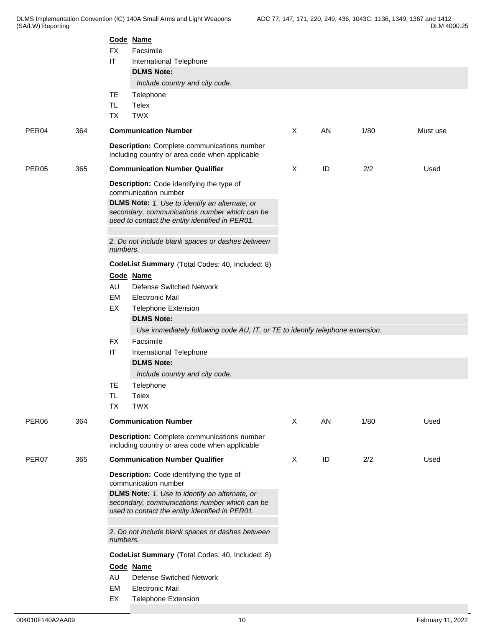|                   |     |                        | Code Name                                                                                                                                          |              |    |      |          |  |  |  |  |
|-------------------|-----|------------------------|----------------------------------------------------------------------------------------------------------------------------------------------------|--------------|----|------|----------|--|--|--|--|
|                   |     | <b>FX</b>              | Facsimile                                                                                                                                          |              |    |      |          |  |  |  |  |
|                   |     | $\mathsf{I}\mathsf{T}$ | International Telephone                                                                                                                            |              |    |      |          |  |  |  |  |
|                   |     |                        | <b>DLMS Note:</b>                                                                                                                                  |              |    |      |          |  |  |  |  |
|                   |     | <b>TE</b>              | Include country and city code.                                                                                                                     |              |    |      |          |  |  |  |  |
|                   |     | TL.                    | Telephone<br>Telex                                                                                                                                 |              |    |      |          |  |  |  |  |
|                   |     | <b>TX</b>              | <b>TWX</b>                                                                                                                                         |              |    |      |          |  |  |  |  |
|                   |     |                        | <b>Communication Number</b>                                                                                                                        | X            | AN | 1/80 | Must use |  |  |  |  |
| PER <sub>04</sub> | 364 |                        |                                                                                                                                                    |              |    |      |          |  |  |  |  |
|                   |     |                        | <b>Description:</b> Complete communications number<br>including country or area code when applicable                                               |              |    |      |          |  |  |  |  |
| PER <sub>05</sub> | 365 |                        | <b>Communication Number Qualifier</b>                                                                                                              | X            | ID | 2/2  | Used     |  |  |  |  |
|                   |     |                        | Description: Code identifying the type of<br>communication number                                                                                  |              |    |      |          |  |  |  |  |
|                   |     |                        | DLMS Note: 1. Use to identify an alternate, or<br>secondary, communications number which can be<br>used to contact the entity identified in PER01. |              |    |      |          |  |  |  |  |
|                   |     |                        | 2. Do not include blank spaces or dashes between<br>numbers.                                                                                       |              |    |      |          |  |  |  |  |
|                   |     |                        | CodeList Summary (Total Codes: 40, Included: 8)                                                                                                    |              |    |      |          |  |  |  |  |
|                   |     |                        | Code Name                                                                                                                                          |              |    |      |          |  |  |  |  |
|                   |     | AU                     | <b>Defense Switched Network</b>                                                                                                                    |              |    |      |          |  |  |  |  |
|                   |     | EM                     | <b>Electronic Mail</b>                                                                                                                             |              |    |      |          |  |  |  |  |
|                   |     | EX                     | <b>Telephone Extension</b>                                                                                                                         |              |    |      |          |  |  |  |  |
|                   |     |                        | <b>DLMS Note:</b>                                                                                                                                  |              |    |      |          |  |  |  |  |
|                   |     |                        | Use immediately following code AU, IT, or TE to identify telephone extension.                                                                      |              |    |      |          |  |  |  |  |
|                   |     | <b>FX</b>              | Facsimile                                                                                                                                          |              |    |      |          |  |  |  |  |
|                   |     | $\mathsf{I}\mathsf{T}$ | International Telephone                                                                                                                            |              |    |      |          |  |  |  |  |
|                   |     |                        | <b>DLMS Note:</b>                                                                                                                                  |              |    |      |          |  |  |  |  |
|                   |     |                        | Include country and city code.                                                                                                                     |              |    |      |          |  |  |  |  |
|                   |     | TE                     | Telephone                                                                                                                                          |              |    |      |          |  |  |  |  |
|                   |     | TL.                    | Telex                                                                                                                                              |              |    |      |          |  |  |  |  |
|                   |     | <b>TX</b>              | <b>TWX</b>                                                                                                                                         |              |    |      |          |  |  |  |  |
| PER06             | 364 |                        | <b>Communication Number</b>                                                                                                                        | X            | AN | 1/80 | Used     |  |  |  |  |
|                   |     |                        | <b>Description:</b> Complete communications number<br>including country or area code when applicable                                               |              |    |      |          |  |  |  |  |
| PER07             | 365 |                        | <b>Communication Number Qualifier</b>                                                                                                              | $\mathsf{X}$ | ID | 2/2  | Used     |  |  |  |  |
|                   |     |                        | Description: Code identifying the type of<br>communication number                                                                                  |              |    |      |          |  |  |  |  |
|                   |     |                        | DLMS Note: 1. Use to identify an alternate, or                                                                                                     |              |    |      |          |  |  |  |  |
|                   |     |                        | secondary, communications number which can be<br>used to contact the entity identified in PER01.                                                   |              |    |      |          |  |  |  |  |
|                   |     | numbers.               | 2. Do not include blank spaces or dashes between                                                                                                   |              |    |      |          |  |  |  |  |
|                   |     |                        | CodeList Summary (Total Codes: 40, Included: 8)                                                                                                    |              |    |      |          |  |  |  |  |
|                   |     |                        | Code Name                                                                                                                                          |              |    |      |          |  |  |  |  |
|                   |     | AU                     | <b>Defense Switched Network</b>                                                                                                                    |              |    |      |          |  |  |  |  |
|                   |     | EM                     | <b>Electronic Mail</b>                                                                                                                             |              |    |      |          |  |  |  |  |
|                   |     | EX                     | <b>Telephone Extension</b>                                                                                                                         |              |    |      |          |  |  |  |  |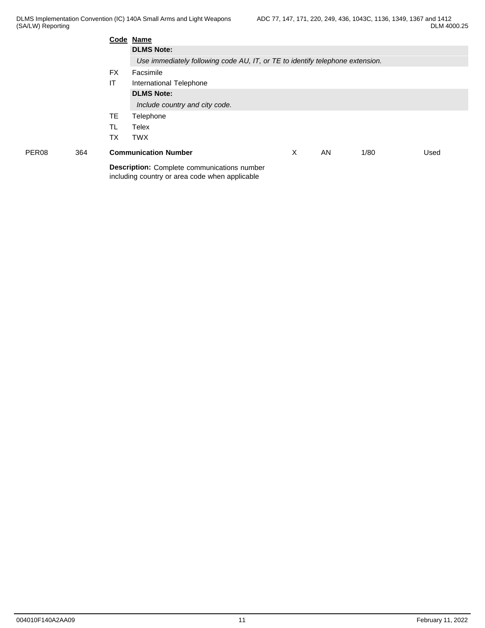|                   |     |           | Code Name                                                                                            |   |    |      |      |  |  |  |  |
|-------------------|-----|-----------|------------------------------------------------------------------------------------------------------|---|----|------|------|--|--|--|--|
|                   |     |           | <b>DLMS Note:</b>                                                                                    |   |    |      |      |  |  |  |  |
|                   |     |           | Use immediately following code AU, IT, or TE to identify telephone extension.                        |   |    |      |      |  |  |  |  |
|                   |     | <b>FX</b> | Facsimile                                                                                            |   |    |      |      |  |  |  |  |
|                   |     | IT        | International Telephone                                                                              |   |    |      |      |  |  |  |  |
|                   |     |           | <b>DLMS Note:</b>                                                                                    |   |    |      |      |  |  |  |  |
|                   |     |           | Include country and city code.                                                                       |   |    |      |      |  |  |  |  |
|                   |     | TE.       | Telephone                                                                                            |   |    |      |      |  |  |  |  |
|                   |     | TL        | Telex                                                                                                |   |    |      |      |  |  |  |  |
|                   |     | ТX        | <b>TWX</b>                                                                                           |   |    |      |      |  |  |  |  |
| PER <sub>08</sub> | 364 |           | <b>Communication Number</b>                                                                          | Х | AN | 1/80 | Used |  |  |  |  |
|                   |     |           | <b>Description:</b> Complete communications number<br>including country or area code when applicable |   |    |      |      |  |  |  |  |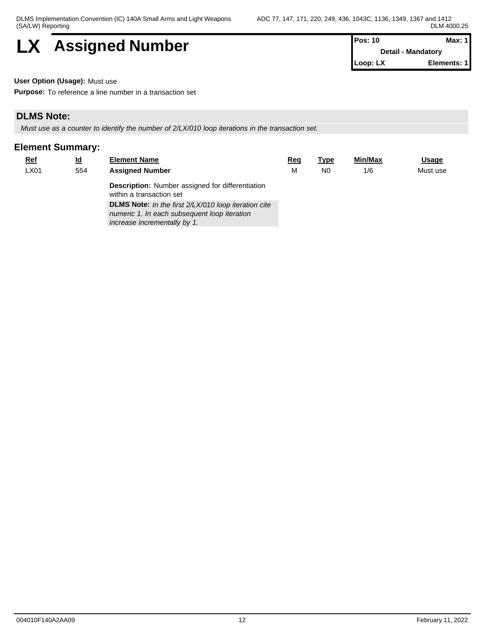

| <b>Pos: 10</b> | Max: 11            |
|----------------|--------------------|
|                | Detail - Mandatory |
| Loop: LX       | Elements: 11       |

**User Option (Usage):** Must use

**Purpose:** To reference a line number in a transaction set

# **DLMS Note:**

*Must use as a counter to identify the number of 2/LX/010 loop iterations in the transaction set.*

| $Ref$ | <u>ld</u> | <b>Element Name</b>                                                                                                                  | Reg | Type | Min/Max | <u>Usage</u> |
|-------|-----------|--------------------------------------------------------------------------------------------------------------------------------------|-----|------|---------|--------------|
| LX01  | 554       | <b>Assigned Number</b>                                                                                                               |     | N0   | 1/6     | Must use     |
|       |           | <b>Description:</b> Number assigned for differentiation<br>within a transaction set                                                  |     |      |         |              |
|       |           | DLMS Note: In the first 2/LX/010 loop iteration cite<br>numeric 1. In each subsequent loop iteration<br>increase incrementally by 1. |     |      |         |              |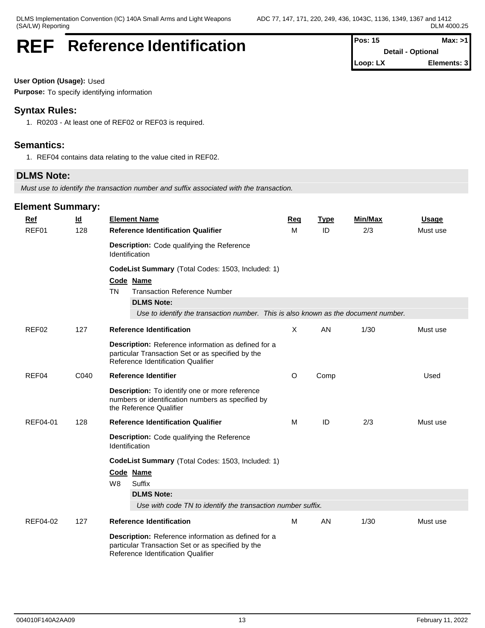# **REF** Reference Identification

| $Pos: 15$  | Max: >11                 |  |
|------------|--------------------------|--|
|            | <b>Detail - Optional</b> |  |
| $Loop: LX$ | Elements: 3              |  |

**User Option (Usage):** Used

**Purpose:** To specify identifying information

# **Syntax Rules:**

1. R0203 - At least one of REF02 or REF03 is required.

# **Semantics:**

1. REF04 contains data relating to the value cited in REF02.

# **DLMS Note:**

*Must use to identify the transaction number and suffix associated with the transaction.*

| <b>Ref</b><br>REF01 | $\underline{\mathsf{Id}}$<br>128 | <b>Element Name</b><br><b>Reference Identification Qualifier</b>                                                                                                                                                              | Req<br>м | <b>Type</b><br>ID | <b>Min/Max</b><br>2/3 | <b>Usage</b><br>Must use |  |  |  |  |  |
|---------------------|----------------------------------|-------------------------------------------------------------------------------------------------------------------------------------------------------------------------------------------------------------------------------|----------|-------------------|-----------------------|--------------------------|--|--|--|--|--|
|                     |                                  | Description: Code qualifying the Reference<br>Identification                                                                                                                                                                  |          |                   |                       |                          |  |  |  |  |  |
|                     |                                  | CodeList Summary (Total Codes: 1503, Included: 1)<br>Code Name<br><b>Transaction Reference Number</b><br><b>TN</b><br><b>DLMS Note:</b><br>Use to identify the transaction number. This is also known as the document number. |          |                   |                       |                          |  |  |  |  |  |
| REF <sub>02</sub>   | 127                              | <b>Reference Identification</b>                                                                                                                                                                                               | X        | AN                | 1/30                  | Must use                 |  |  |  |  |  |
|                     |                                  | Description: Reference information as defined for a<br>particular Transaction Set or as specified by the<br>Reference Identification Qualifier                                                                                |          |                   |                       |                          |  |  |  |  |  |
| REF04               | C040                             | <b>Reference Identifier</b>                                                                                                                                                                                                   | $\circ$  | Comp              |                       | Used                     |  |  |  |  |  |
|                     |                                  | <b>Description:</b> To identify one or more reference<br>numbers or identification numbers as specified by<br>the Reference Qualifier                                                                                         |          |                   |                       |                          |  |  |  |  |  |
| REF04-01            | 128                              | <b>Reference Identification Qualifier</b>                                                                                                                                                                                     | M        | ID                | 2/3                   | Must use                 |  |  |  |  |  |
|                     |                                  | Description: Code qualifying the Reference<br>Identification                                                                                                                                                                  |          |                   |                       |                          |  |  |  |  |  |
|                     |                                  | CodeList Summary (Total Codes: 1503, Included: 1)<br>Code Name<br>Suffix<br>W8                                                                                                                                                |          |                   |                       |                          |  |  |  |  |  |
|                     |                                  | <b>DLMS Note:</b><br>Use with code TN to identify the transaction number suffix.                                                                                                                                              |          |                   |                       |                          |  |  |  |  |  |
| REF04-02            | 127                              | <b>Reference Identification</b>                                                                                                                                                                                               | M        | AN                | 1/30                  | Must use                 |  |  |  |  |  |
|                     |                                  | Description: Reference information as defined for a<br>particular Transaction Set or as specified by the<br>Reference Identification Qualifier                                                                                |          |                   |                       |                          |  |  |  |  |  |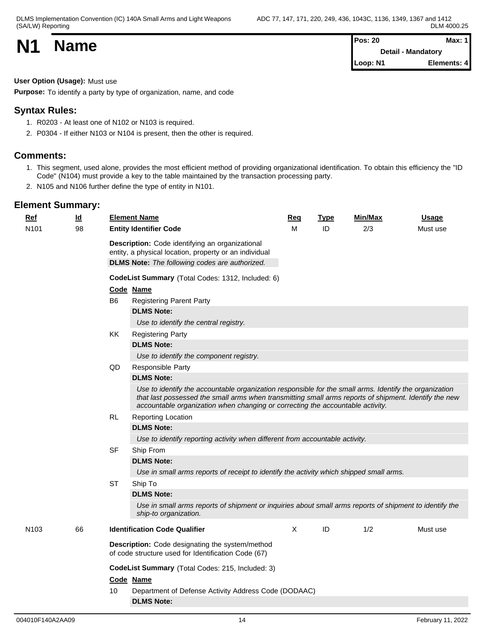| <b>N1</b><br><b>Name</b> | Max: 1<br>Pos: 20         |             |  |
|--------------------------|---------------------------|-------------|--|
|                          | <b>Detail - Mandatory</b> |             |  |
|                          | Loop: N1                  | Elements: 4 |  |

**User Option (Usage):** Must use

**Purpose:** To identify a party by type of organization, name, and code

# **Syntax Rules:**

- 1. R0203 At least one of N102 or N103 is required.
- 2. P0304 If either N103 or N104 is present, then the other is required.

# **Comments:**

- 1. This segment, used alone, provides the most efficient method of providing organizational identification. To obtain this efficiency the "ID Code" (N104) must provide a key to the table maintained by the transaction processing party.
- 2. N105 and N106 further define the type of entity in N101.

| Ref              | <u>ld</u> | <b>Element Name</b>                                                                                                                                                                                                                                                                               | Req          | <b>Type</b><br>ID | Min/Max | <b>Usage</b> |
|------------------|-----------|---------------------------------------------------------------------------------------------------------------------------------------------------------------------------------------------------------------------------------------------------------------------------------------------------|--------------|-------------------|---------|--------------|
| N101             | 98        | <b>Entity Identifier Code</b><br>Description: Code identifying an organizational<br>entity, a physical location, property or an individual<br><b>DLMS Note:</b> The following codes are authorized.<br>CodeList Summary (Total Codes: 1312, Included: 6)                                          | м            |                   | 2/3     | Must use     |
|                  |           | Code Name                                                                                                                                                                                                                                                                                         |              |                   |         |              |
|                  |           | <b>Registering Parent Party</b><br>B6                                                                                                                                                                                                                                                             |              |                   |         |              |
|                  |           | <b>DLMS Note:</b>                                                                                                                                                                                                                                                                                 |              |                   |         |              |
|                  |           | Use to identify the central registry.                                                                                                                                                                                                                                                             |              |                   |         |              |
|                  |           | KK<br><b>Registering Party</b>                                                                                                                                                                                                                                                                    |              |                   |         |              |
|                  |           | <b>DLMS Note:</b>                                                                                                                                                                                                                                                                                 |              |                   |         |              |
|                  |           | Use to identify the component registry.                                                                                                                                                                                                                                                           |              |                   |         |              |
|                  |           | QD<br>Responsible Party                                                                                                                                                                                                                                                                           |              |                   |         |              |
|                  |           | <b>DLMS Note:</b>                                                                                                                                                                                                                                                                                 |              |                   |         |              |
|                  |           | Use to identify the accountable organization responsible for the small arms. Identify the organization<br>that last possessed the small arms when transmitting small arms reports of shipment. Identify the new<br>accountable organization when changing or correcting the accountable activity. |              |                   |         |              |
|                  |           | <b>RL</b><br><b>Reporting Location</b>                                                                                                                                                                                                                                                            |              |                   |         |              |
|                  |           | <b>DLMS Note:</b>                                                                                                                                                                                                                                                                                 |              |                   |         |              |
|                  |           | Use to identify reporting activity when different from accountable activity.                                                                                                                                                                                                                      |              |                   |         |              |
|                  |           | <b>SF</b><br>Ship From                                                                                                                                                                                                                                                                            |              |                   |         |              |
|                  |           | <b>DLMS Note:</b>                                                                                                                                                                                                                                                                                 |              |                   |         |              |
|                  |           | Use in small arms reports of receipt to identify the activity which shipped small arms.                                                                                                                                                                                                           |              |                   |         |              |
|                  |           | <b>ST</b><br>Ship To                                                                                                                                                                                                                                                                              |              |                   |         |              |
|                  |           | <b>DLMS Note:</b>                                                                                                                                                                                                                                                                                 |              |                   |         |              |
|                  |           | Use in small arms reports of shipment or inquiries about small arms reports of shipment to identify the<br>ship-to organization.                                                                                                                                                                  |              |                   |         |              |
| N <sub>103</sub> | 66        | <b>Identification Code Qualifier</b>                                                                                                                                                                                                                                                              | $\mathsf{X}$ | ID                | 1/2     | Must use     |
|                  |           | <b>Description:</b> Code designating the system/method<br>of code structure used for Identification Code (67)                                                                                                                                                                                     |              |                   |         |              |
|                  |           | CodeList Summary (Total Codes: 215, Included: 3)                                                                                                                                                                                                                                                  |              |                   |         |              |
|                  |           | Code Name                                                                                                                                                                                                                                                                                         |              |                   |         |              |
|                  |           | 10<br>Department of Defense Activity Address Code (DODAAC)                                                                                                                                                                                                                                        |              |                   |         |              |
|                  |           | <b>DLMS Note:</b>                                                                                                                                                                                                                                                                                 |              |                   |         |              |
|                  |           |                                                                                                                                                                                                                                                                                                   |              |                   |         |              |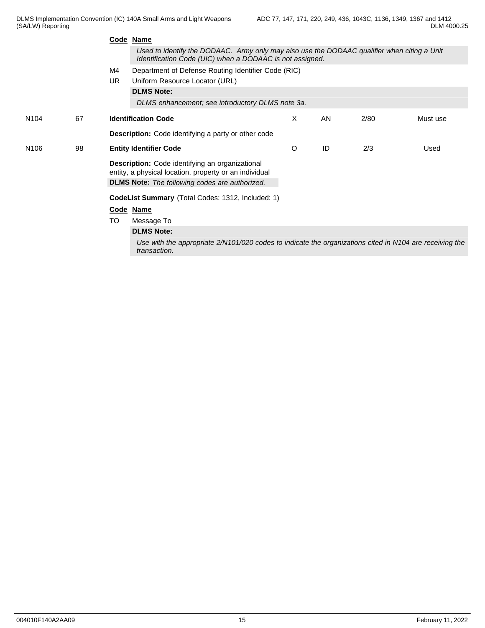|                  |    |                                                          | Code Name                                                                                                                                               |         |    |      |          |  |  |
|------------------|----|----------------------------------------------------------|---------------------------------------------------------------------------------------------------------------------------------------------------------|---------|----|------|----------|--|--|
|                  |    |                                                          | Used to identify the DODAAC. Army only may also use the DODAAC qualifier when citing a Unit<br>Identification Code (UIC) when a DODAAC is not assigned. |         |    |      |          |  |  |
|                  |    | M4                                                       | Department of Defense Routing Identifier Code (RIC)                                                                                                     |         |    |      |          |  |  |
|                  |    | <b>UR</b>                                                | Uniform Resource Locator (URL)                                                                                                                          |         |    |      |          |  |  |
|                  |    |                                                          | <b>DLMS Note:</b>                                                                                                                                       |         |    |      |          |  |  |
|                  |    |                                                          | DLMS enhancement; see introductory DLMS note 3a.                                                                                                        |         |    |      |          |  |  |
| N <sub>104</sub> | 67 |                                                          | <b>Identification Code</b>                                                                                                                              | X       | AN | 2/80 | Must use |  |  |
|                  |    |                                                          | Description: Code identifying a party or other code                                                                                                     |         |    |      |          |  |  |
| N <sub>106</sub> | 98 |                                                          | <b>Entity Identifier Code</b>                                                                                                                           | $\circ$ | ID | 2/3  | Used     |  |  |
|                  |    |                                                          | Description: Code identifying an organizational                                                                                                         |         |    |      |          |  |  |
|                  |    |                                                          | entity, a physical location, property or an individual                                                                                                  |         |    |      |          |  |  |
|                  |    |                                                          | <b>DLMS Note:</b> The following codes are authorized.                                                                                                   |         |    |      |          |  |  |
|                  |    | <b>CodeList Summary</b> (Total Codes: 1312, Included: 1) |                                                                                                                                                         |         |    |      |          |  |  |
|                  |    |                                                          | Code Name                                                                                                                                               |         |    |      |          |  |  |
|                  |    | <b>TO</b>                                                | Message To                                                                                                                                              |         |    |      |          |  |  |
|                  |    |                                                          | <b>DLMS Note:</b>                                                                                                                                       |         |    |      |          |  |  |
|                  |    |                                                          | Use with the appropriate 2/N101/020 codes to indicate the organizations cited in N104 are receiving the<br>transaction.                                 |         |    |      |          |  |  |
|                  |    |                                                          |                                                                                                                                                         |         |    |      |          |  |  |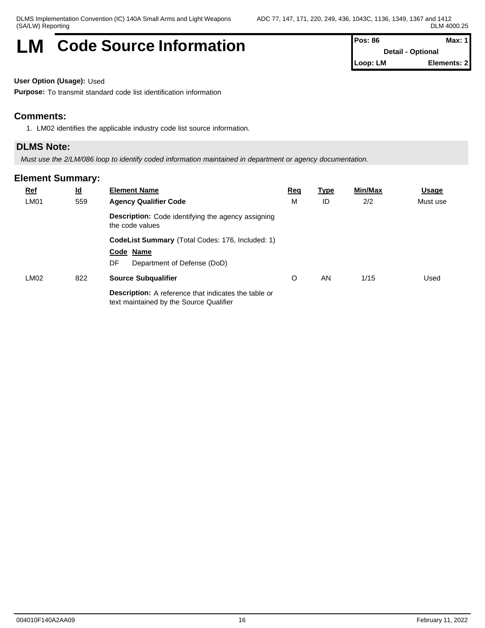# **LM** Code Source Information **Pos: 86 Max: 1 Max: 1**

**Detail - Optional Loop: LM Elements: 2**

### **User Option (Usage):** Used

**Purpose:** To transmit standard code list identification information

## **Comments:**

1. LM02 identifies the applicable industry code list source information.

### **DLMS Note:**

*Must use the 2/LM/086 loop to identify coded information maintained in department or agency documentation.*

| $Ref$<br><b>LM01</b> | $\underline{\mathsf{Id}}$<br>559 | <b>Element Name</b><br><b>Agency Qualifier Code</b>                                                    | <u>Req</u><br>M | <u>Type</u><br>ID | Min/Max<br>2/2 | Usage<br>Must use |
|----------------------|----------------------------------|--------------------------------------------------------------------------------------------------------|-----------------|-------------------|----------------|-------------------|
|                      |                                  | Description: Code identifying the agency assigning<br>the code values                                  |                 |                   |                |                   |
|                      |                                  | CodeList Summary (Total Codes: 176, Included: 1)<br>Code Name<br>Department of Defense (DoD)<br>DF     |                 |                   |                |                   |
| LMO2                 | 822                              | <b>Source Subqualifier</b>                                                                             | O               | AN                | 1/15           | Used              |
|                      |                                  | <b>Description:</b> A reference that indicates the table or<br>text maintained by the Source Qualifier |                 |                   |                |                   |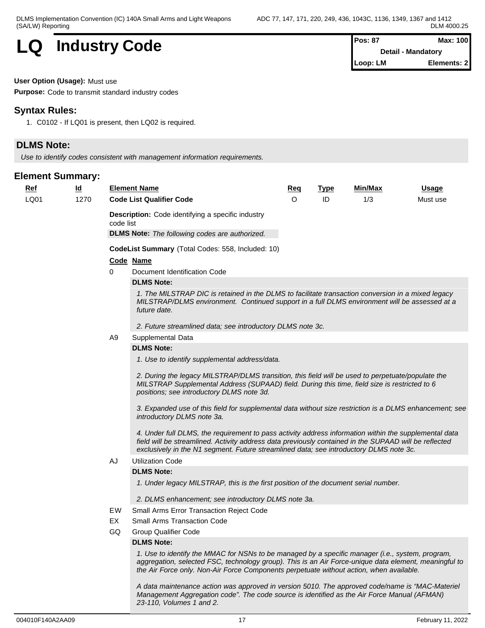# **LQ** Industry Code

| Pos: 87  | Max: 100           |  |
|----------|--------------------|--|
|          | Detail - Mandatory |  |
| Loop: LM | Elements: 2        |  |

#### **User Option (Usage):** Must use

**Purpose:** Code to transmit standard industry codes

## **Syntax Rules:**

1. C0102 - If LQ01 is present, then LQ02 is required.

# **DLMS Note:**

*Use to identify codes consistent with management information requirements.*

## **Element Summary:**

| <u>Ref</u> | $\underline{\mathsf{Id}}$ |                | <b>Element Name</b>                                                                                                                                                                                                                                                                                                                                                                                                                                                                               | <u>Req</u> | <b>Type</b> | <b>Min/Max</b> | Usage    |
|------------|---------------------------|----------------|---------------------------------------------------------------------------------------------------------------------------------------------------------------------------------------------------------------------------------------------------------------------------------------------------------------------------------------------------------------------------------------------------------------------------------------------------------------------------------------------------|------------|-------------|----------------|----------|
| LQ01       | 1270                      |                | <b>Code List Qualifier Code</b>                                                                                                                                                                                                                                                                                                                                                                                                                                                                   | $\Omega$   | ID          | 1/3            | Must use |
|            |                           | code list      | <b>Description:</b> Code identifying a specific industry<br><b>DLMS Note:</b> The following codes are authorized.                                                                                                                                                                                                                                                                                                                                                                                 |            |             |                |          |
|            |                           |                | CodeList Summary (Total Codes: 558, Included: 10)                                                                                                                                                                                                                                                                                                                                                                                                                                                 |            |             |                |          |
|            |                           |                | Code Name                                                                                                                                                                                                                                                                                                                                                                                                                                                                                         |            |             |                |          |
|            |                           | 0              | Document Identification Code                                                                                                                                                                                                                                                                                                                                                                                                                                                                      |            |             |                |          |
|            |                           |                | <b>DLMS Note:</b>                                                                                                                                                                                                                                                                                                                                                                                                                                                                                 |            |             |                |          |
|            |                           |                | 1. The MILSTRAP DIC is retained in the DLMS to facilitate transaction conversion in a mixed legacy<br>MILSTRAP/DLMS environment. Continued support in a full DLMS environment will be assessed at a<br>future date.                                                                                                                                                                                                                                                                               |            |             |                |          |
|            |                           |                | 2. Future streamlined data; see introductory DLMS note 3c.                                                                                                                                                                                                                                                                                                                                                                                                                                        |            |             |                |          |
|            |                           | A <sub>9</sub> | Supplemental Data                                                                                                                                                                                                                                                                                                                                                                                                                                                                                 |            |             |                |          |
|            |                           |                | <b>DLMS Note:</b>                                                                                                                                                                                                                                                                                                                                                                                                                                                                                 |            |             |                |          |
|            |                           |                | 1. Use to identify supplemental address/data.                                                                                                                                                                                                                                                                                                                                                                                                                                                     |            |             |                |          |
|            |                           |                | 2. During the legacy MILSTRAP/DLMS transition, this field will be used to perpetuate/populate the<br>MILSTRAP Supplemental Address (SUPAAD) field. During this time, field size is restricted to 6<br>positions; see introductory DLMS note 3d.<br>3. Expanded use of this field for supplemental data without size restriction is a DLMS enhancement; see<br>introductory DLMS note 3a.<br>4. Under full DLMS, the requirement to pass activity address information within the supplemental data |            |             |                |          |
|            |                           |                | field will be streamlined. Activity address data previously contained in the SUPAAD will be reflected<br>exclusively in the N1 segment. Future streamlined data; see introductory DLMS note 3c.                                                                                                                                                                                                                                                                                                   |            |             |                |          |
|            |                           | AJ             | <b>Utilization Code</b>                                                                                                                                                                                                                                                                                                                                                                                                                                                                           |            |             |                |          |
|            |                           |                | <b>DLMS Note:</b>                                                                                                                                                                                                                                                                                                                                                                                                                                                                                 |            |             |                |          |
|            |                           |                | 1. Under legacy MILSTRAP, this is the first position of the document serial number.                                                                                                                                                                                                                                                                                                                                                                                                               |            |             |                |          |
|            |                           |                | 2. DLMS enhancement; see introductory DLMS note 3a.                                                                                                                                                                                                                                                                                                                                                                                                                                               |            |             |                |          |
|            |                           | EW             | Small Arms Error Transaction Reject Code                                                                                                                                                                                                                                                                                                                                                                                                                                                          |            |             |                |          |
|            |                           | EX             | <b>Small Arms Transaction Code</b>                                                                                                                                                                                                                                                                                                                                                                                                                                                                |            |             |                |          |
|            |                           | GQ             | <b>Group Qualifier Code</b>                                                                                                                                                                                                                                                                                                                                                                                                                                                                       |            |             |                |          |
|            |                           |                | <b>DLMS Note:</b><br>1. Use to identify the MMAC for NSNs to be managed by a specific manager (i.e., system, program,<br>aggregation, selected FSC, technology group). This is an Air Force-unique data element, meaningful to<br>the Air Force only. Non-Air Force Components perpetuate without action, when available.                                                                                                                                                                         |            |             |                |          |
|            |                           |                | A data maintenance action was approved in version 5010. The approved code/name is "MAC-Materiel                                                                                                                                                                                                                                                                                                                                                                                                   |            |             |                |          |

*23-110, Volumes 1 and 2.*

*Management Aggregation code". The code source is identified as the Air Force Manual (AFMAN)*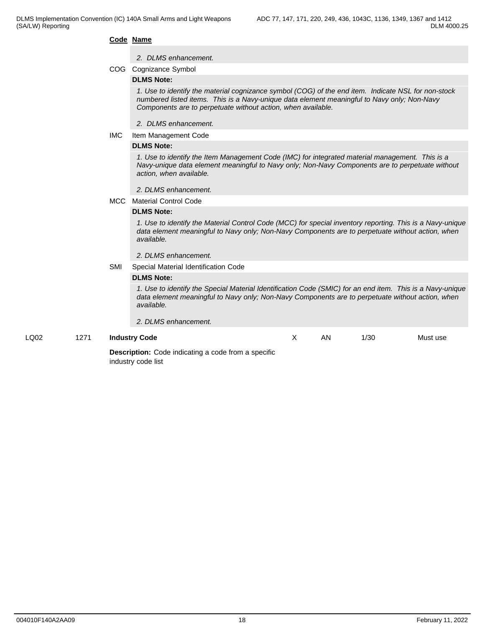#### **Code Name**

#### *2. DLMS enhancement.*

COG Cognizance Symbol

#### **DLMS Note:**

*1. Use to identify the material cognizance symbol (COG) of the end item. Indicate NSL for non-stock numbered listed items. This is a Navy-unique data element meaningful to Navy only; Non-Navy Components are to perpetuate without action, when available.*

- *2. DLMS enhancement.*
- IMC Item Management Code

#### **DLMS Note:**

*1. Use to identify the Item Management Code (IMC) for integrated material management. This is a Navy-unique data element meaningful to Navy only; Non-Navy Components are to perpetuate without action, when available.* 

- *2. DLMS enhancement.*
- MCC Material Control Code

#### **DLMS Note:**

*1. Use to identify the Material Control Code (MCC) for special inventory reporting. This is a Navy-unique data element meaningful to Navy only; Non-Navy Components are to perpetuate without action, when available.*

*2. DLMS enhancement.*

SMI Special Material Identification Code

#### **DLMS Note:**

*1. Use to identify the Special Material Identification Code (SMIC) for an end item. This is a Navy-unique data element meaningful to Navy only; Non-Navy Components are to perpetuate without action, when available.*

#### *2. DLMS enhancement.*

#### LQ02 1271 **Industry Code**

AN 1/30 Must use

**Description:** Code indicating a code from a specific industry code list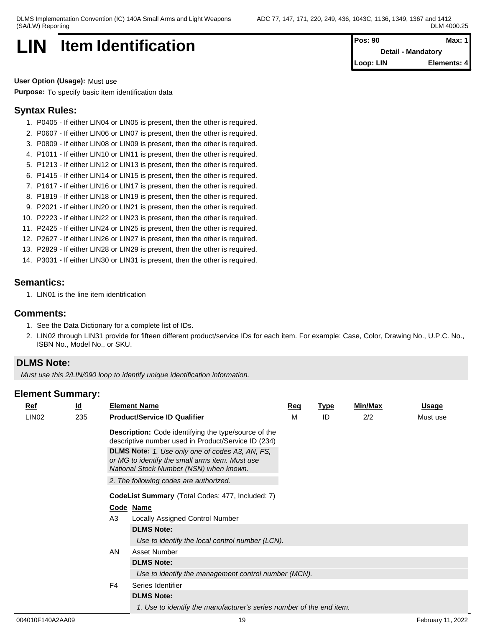# **LIN** Item Identification

| $Pos: 90$ | Max: 1                    |
|-----------|---------------------------|
|           | <b>Detail - Mandatory</b> |
| Loop: LIN | Elements: 4               |

**User Option (Usage):** Must use

**Purpose:** To specify basic item identification data

# **Syntax Rules:**

- 1. P0405 If either LIN04 or LIN05 is present, then the other is required.
- 2. P0607 If either LIN06 or LIN07 is present, then the other is required.
- 3. P0809 If either LIN08 or LIN09 is present, then the other is required.
- 4. P1011 If either LIN10 or LIN11 is present, then the other is required.
- 5. P1213 If either LIN12 or LIN13 is present, then the other is required.
- 6. P1415 If either LIN14 or LIN15 is present, then the other is required.
- 7. P1617 If either LIN16 or LIN17 is present, then the other is required.
- 8. P1819 If either LIN18 or LIN19 is present, then the other is required.
- 9. P2021 If either LIN20 or LIN21 is present, then the other is required.
- 10. P2223 If either LIN22 or LIN23 is present, then the other is required.
- 11. P2425 If either LIN24 or LIN25 is present, then the other is required.
- 12. P2627 If either LIN26 or LIN27 is present, then the other is required.
- 13. P2829 If either LIN28 or LIN29 is present, then the other is required.
- 14. P3031 If either LIN30 or LIN31 is present, then the other is required.

# **Semantics:**

1. LIN01 is the line item identification

### **Comments:**

- 1. See the Data Dictionary for a complete list of IDs.
- 2. LIN02 through LIN31 provide for fifteen different product/service IDs for each item. For example: Case, Color, Drawing No., U.P.C. No., ISBN No., Model No., or SKU.

# **DLMS Note:**

*Must use this 2/LIN/090 loop to identify unique identification information.*

| $Ref$             | <u>ld</u> |                   | <b>Element Name</b>                                                                                                                                  | Req | <b>Type</b> | <b>Min/Max</b> | <b>Usage</b> |  |  |
|-------------------|-----------|-------------------|------------------------------------------------------------------------------------------------------------------------------------------------------|-----|-------------|----------------|--------------|--|--|
| LIN <sub>02</sub> | 235       |                   | <b>Product/Service ID Qualifier</b>                                                                                                                  | М   | ID          | 2/2            | Must use     |  |  |
|                   |           |                   | <b>Description:</b> Code identifying the type/source of the<br>descriptive number used in Product/Service ID (234)                                   |     |             |                |              |  |  |
|                   |           |                   | <b>DLMS Note:</b> 1. Use only one of codes A3, AN, FS,<br>or MG to identify the small arms item. Must use<br>National Stock Number (NSN) when known. |     |             |                |              |  |  |
|                   |           |                   | 2. The following codes are authorized.                                                                                                               |     |             |                |              |  |  |
|                   |           |                   | <b>CodeList Summary</b> (Total Codes: 477, Included: 7)                                                                                              |     |             |                |              |  |  |
|                   |           |                   | Code Name                                                                                                                                            |     |             |                |              |  |  |
|                   |           | A <sub>3</sub>    | Locally Assigned Control Number                                                                                                                      |     |             |                |              |  |  |
|                   |           |                   | <b>DLMS Note:</b>                                                                                                                                    |     |             |                |              |  |  |
|                   |           |                   | Use to identify the local control number (LCN).                                                                                                      |     |             |                |              |  |  |
|                   |           | AN                | Asset Number                                                                                                                                         |     |             |                |              |  |  |
|                   |           | <b>DLMS Note:</b> |                                                                                                                                                      |     |             |                |              |  |  |
|                   |           |                   | Use to identify the management control number (MCN).                                                                                                 |     |             |                |              |  |  |
|                   |           | F4                | Series Identifier                                                                                                                                    |     |             |                |              |  |  |
|                   |           |                   | <b>DLMS Note:</b>                                                                                                                                    |     |             |                |              |  |  |
|                   |           |                   | 1. Use to identify the manufacturer's series number of the end item.                                                                                 |     |             |                |              |  |  |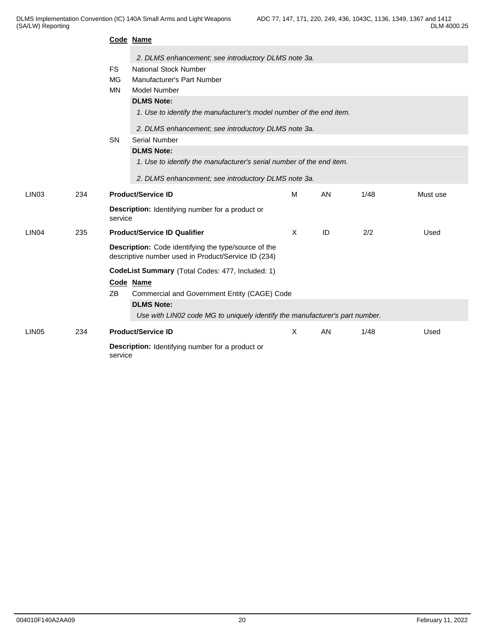|                   |     |                                                  | Code Name                                                                                                   |   |    |      |          |  |  |  |
|-------------------|-----|--------------------------------------------------|-------------------------------------------------------------------------------------------------------------|---|----|------|----------|--|--|--|
|                   |     |                                                  | 2. DLMS enhancement; see introductory DLMS note 3a.                                                         |   |    |      |          |  |  |  |
|                   |     | <b>FS</b>                                        | <b>National Stock Number</b>                                                                                |   |    |      |          |  |  |  |
|                   |     | <b>MG</b>                                        | <b>Manufacturer's Part Number</b>                                                                           |   |    |      |          |  |  |  |
|                   |     | <b>MN</b>                                        | Model Number                                                                                                |   |    |      |          |  |  |  |
|                   |     |                                                  | <b>DLMS Note:</b>                                                                                           |   |    |      |          |  |  |  |
|                   |     |                                                  | 1. Use to identify the manufacturer's model number of the end item.                                         |   |    |      |          |  |  |  |
|                   |     |                                                  |                                                                                                             |   |    |      |          |  |  |  |
|                   |     |                                                  | 2. DLMS enhancement; see introductory DLMS note 3a.                                                         |   |    |      |          |  |  |  |
|                   |     | SN                                               | Serial Number                                                                                               |   |    |      |          |  |  |  |
|                   |     |                                                  | <b>DLMS Note:</b>                                                                                           |   |    |      |          |  |  |  |
|                   |     |                                                  | 1. Use to identify the manufacturer's serial number of the end item.                                        |   |    |      |          |  |  |  |
|                   |     |                                                  | 2. DLMS enhancement; see introductory DLMS note 3a.                                                         |   |    |      |          |  |  |  |
| LIN <sub>03</sub> | 234 |                                                  | <b>Product/Service ID</b>                                                                                   | M | AN | 1/48 | Must use |  |  |  |
|                   |     | service                                          | <b>Description:</b> Identifying number for a product or                                                     |   |    |      |          |  |  |  |
| LIN <sub>04</sub> | 235 |                                                  | <b>Product/Service ID Qualifier</b>                                                                         |   | ID | 2/2  | Used     |  |  |  |
|                   |     |                                                  | Description: Code identifying the type/source of the<br>descriptive number used in Product/Service ID (234) |   |    |      |          |  |  |  |
|                   |     | CodeList Summary (Total Codes: 477, Included: 1) |                                                                                                             |   |    |      |          |  |  |  |
|                   |     |                                                  | Code Name                                                                                                   |   |    |      |          |  |  |  |
|                   |     | ZB                                               | Commercial and Government Entity (CAGE) Code                                                                |   |    |      |          |  |  |  |
|                   |     |                                                  | <b>DLMS Note:</b>                                                                                           |   |    |      |          |  |  |  |
|                   |     |                                                  | Use with LIN02 code MG to uniquely identify the manufacturer's part number.                                 |   |    |      |          |  |  |  |
| LIN <sub>05</sub> | 234 |                                                  | <b>Product/Service ID</b>                                                                                   | X | AN | 1/48 | Used     |  |  |  |
|                   |     | service                                          | <b>Description:</b> Identifying number for a product or                                                     |   |    |      |          |  |  |  |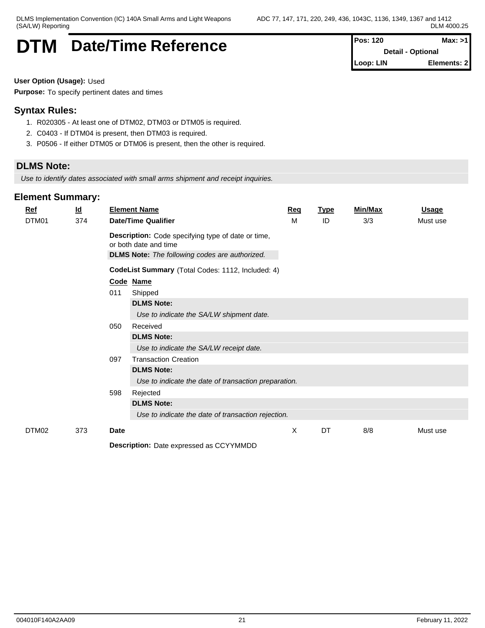# **DTM** Date/Time Reference **Pos: 120** Max: >1

**Detail - Optional Loop: LIN Elements: 2**

**User Option (Usage):** Used

**Purpose:** To specify pertinent dates and times

# **Syntax Rules:**

- 1. R020305 At least one of DTM02, DTM03 or DTM05 is required.
- 2. C0403 If DTM04 is present, then DTM03 is required.
- 3. P0506 If either DTM05 or DTM06 is present, then the other is required.

# **DLMS Note:**

*Use to identify dates associated with small arms shipment and receipt inquiries.*

# **Element Summary:**

| $Ref$ |                                                                             | $\underline{\mathsf{Id}}$ |      | <b>Element Name</b>                                   | <u>Req</u> | <b>Type</b> | Min/Max | <u>Usage</u> |
|-------|-----------------------------------------------------------------------------|---------------------------|------|-------------------------------------------------------|------------|-------------|---------|--------------|
|       | DTM01                                                                       | 374                       |      | <b>Date/Time Qualifier</b>                            | м          | ID          | 3/3     | Must use     |
|       | Description: Code specifying type of date or time,<br>or both date and time |                           |      |                                                       |            |             |         |              |
|       |                                                                             |                           |      | <b>DLMS Note:</b> The following codes are authorized. |            |             |         |              |
|       |                                                                             |                           |      | CodeList Summary (Total Codes: 1112, Included: 4)     |            |             |         |              |
|       |                                                                             |                           |      | Code Name                                             |            |             |         |              |
|       |                                                                             |                           | 011  | Shipped                                               |            |             |         |              |
|       |                                                                             |                           |      | <b>DLMS Note:</b>                                     |            |             |         |              |
|       |                                                                             |                           |      | Use to indicate the SA/LW shipment date.              |            |             |         |              |
|       |                                                                             |                           | 050  | Received                                              |            |             |         |              |
|       |                                                                             |                           |      | <b>DLMS Note:</b>                                     |            |             |         |              |
|       |                                                                             |                           |      | Use to indicate the SA/LW receipt date.               |            |             |         |              |
|       |                                                                             |                           | 097  | <b>Transaction Creation</b>                           |            |             |         |              |
|       |                                                                             |                           |      | <b>DLMS Note:</b>                                     |            |             |         |              |
|       |                                                                             |                           |      | Use to indicate the date of transaction preparation.  |            |             |         |              |
|       |                                                                             |                           | 598  | Rejected                                              |            |             |         |              |
|       |                                                                             |                           |      | <b>DLMS Note:</b>                                     |            |             |         |              |
|       |                                                                             |                           |      | Use to indicate the date of transaction rejection.    |            |             |         |              |
|       | DTM02                                                                       | 373                       | Date |                                                       | X          | DT          | 8/8     | Must use     |
|       |                                                                             |                           |      | <b>Description:</b> Data expressed as CCVVMMDD        |            |             |         |              |

**Description:** Date expressed as CCYYMMDD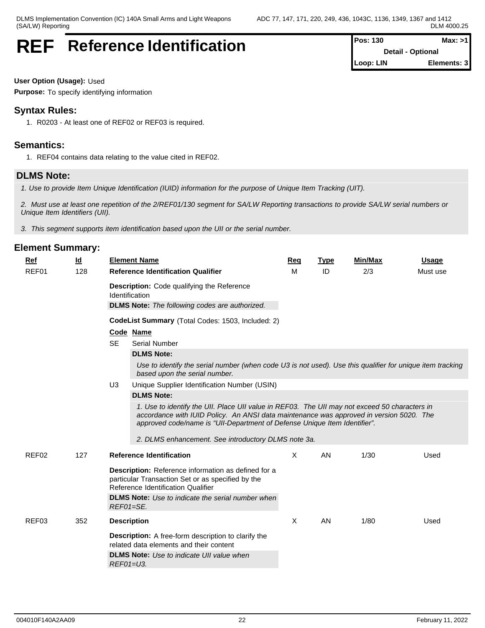# **REF** Reference Identification

| <b>Pos: 130</b>          | Max: >1     |
|--------------------------|-------------|
| <b>Detail - Optional</b> |             |
| Loop: LIN                | Elements: 3 |

**User Option (Usage):** Used

**Purpose:** To specify identifying information

# **Syntax Rules:**

1. R0203 - At least one of REF02 or REF03 is required.

# **Semantics:**

1. REF04 contains data relating to the value cited in REF02.

# **DLMS Note:**

*1. Use to provide Item Unique Identification (IUID) information for the purpose of Unique Item Tracking (UIT).*

*2. Must use at least one repetition of the 2/REF01/130 segment for SA/LW Reporting transactions to provide SA/LW serial numbers or Unique Item Identifiers (UII).*

*3. This segment supports item identification based upon the UII or the serial number.*

| <u>Ref</u> | $\underline{\mathsf{Id}}$ |                    | <b>Element Name</b>                                                                                                                                                                                                                                                                                                          | <b>Req</b> | <b>Type</b> | Min/Max | Usage    |
|------------|---------------------------|--------------------|------------------------------------------------------------------------------------------------------------------------------------------------------------------------------------------------------------------------------------------------------------------------------------------------------------------------------|------------|-------------|---------|----------|
| REF01      | 128                       |                    | <b>Reference Identification Qualifier</b>                                                                                                                                                                                                                                                                                    | м          | ID          | 2/3     | Must use |
|            |                           | Identification     | <b>Description:</b> Code qualifying the Reference<br><b>DLMS Note:</b> The following codes are authorized.                                                                                                                                                                                                                   |            |             |         |          |
|            |                           |                    | CodeList Summary (Total Codes: 1503, Included: 2)                                                                                                                                                                                                                                                                            |            |             |         |          |
|            |                           |                    | Code Name                                                                                                                                                                                                                                                                                                                    |            |             |         |          |
|            |                           | <b>SE</b>          | <b>Serial Number</b>                                                                                                                                                                                                                                                                                                         |            |             |         |          |
|            |                           |                    | <b>DLMS Note:</b>                                                                                                                                                                                                                                                                                                            |            |             |         |          |
|            |                           |                    | Use to identify the serial number (when code U3 is not used). Use this qualifier for unique item tracking<br>based upon the serial number.                                                                                                                                                                                   |            |             |         |          |
|            |                           | U <sub>3</sub>     | Unique Supplier Identification Number (USIN)                                                                                                                                                                                                                                                                                 |            |             |         |          |
|            |                           |                    | <b>DLMS Note:</b>                                                                                                                                                                                                                                                                                                            |            |             |         |          |
|            |                           |                    | 1. Use to identify the UII. Place UII value in REF03. The UII may not exceed 50 characters in<br>accordance with IUID Policy. An ANSI data maintenance was approved in version 5020. The<br>approved code/name is "UII-Department of Defense Unique Item Identifier".<br>2. DLMS enhancement. See introductory DLMS note 3a. |            |             |         |          |
| REF02      | 127                       |                    | <b>Reference Identification</b>                                                                                                                                                                                                                                                                                              | X          | AN          | 1/30    | Used     |
|            |                           | REF01=SE.          | Description: Reference information as defined for a<br>particular Transaction Set or as specified by the<br>Reference Identification Qualifier<br><b>DLMS Note:</b> Use to indicate the serial number when                                                                                                                   |            |             |         |          |
| REF03      | 352                       | <b>Description</b> |                                                                                                                                                                                                                                                                                                                              | X          | AN          | 1/80    | Used     |
|            |                           | REF01=U3.          | <b>Description:</b> A free-form description to clarify the<br>related data elements and their content<br><b>DLMS Note:</b> Use to indicate UII value when                                                                                                                                                                    |            |             |         |          |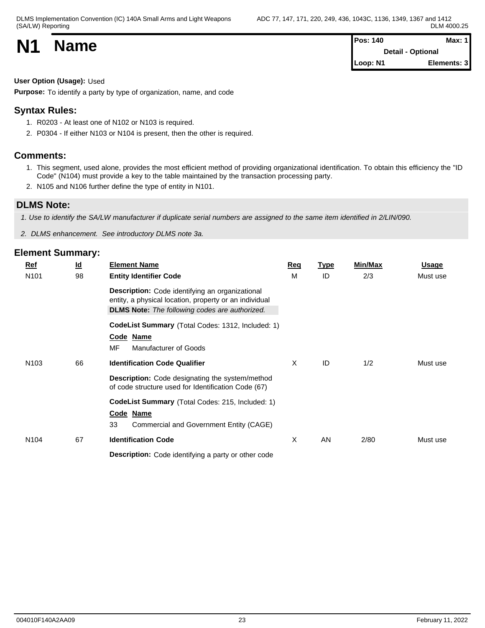| <b>N1</b> | <b>Name</b> | <b>Pos: 140</b>   | Max: $1$    |  |
|-----------|-------------|-------------------|-------------|--|
|           |             | Detail - Optional |             |  |
|           |             | Loop: N1          | Elements: 3 |  |

# **User Option (Usage):** Used

**Purpose:** To identify a party by type of organization, name, and code

# **Syntax Rules:**

- 1. R0203 At least one of N102 or N103 is required.
- 2. P0304 If either N103 or N104 is present, then the other is required.

# **Comments:**

- 1. This segment, used alone, provides the most efficient method of providing organizational identification. To obtain this efficiency the "ID Code" (N104) must provide a key to the table maintained by the transaction processing party.
- 2. N105 and N106 further define the type of entity in N101.

# **DLMS Note:**

*1. Use to identify the SA/LW manufacturer if duplicate serial numbers are assigned to the same item identified in 2/LIN/090.*

*2. DLMS enhancement. See introductory DLMS note 3a.*

| Ref              | $\underline{\mathsf{Id}}$ | <b>Element Name</b>                                                                                                                                                       | Req | <b>Type</b> | <b>Min/Max</b> | <b>Usage</b> |
|------------------|---------------------------|---------------------------------------------------------------------------------------------------------------------------------------------------------------------------|-----|-------------|----------------|--------------|
| N101             | 98                        | <b>Entity Identifier Code</b>                                                                                                                                             | M   | ID          | 2/3            | Must use     |
|                  |                           | <b>Description:</b> Code identifying an organizational<br>entity, a physical location, property or an individual<br><b>DLMS Note:</b> The following codes are authorized. |     |             |                |              |
|                  |                           | CodeList Summary (Total Codes: 1312, Included: 1)                                                                                                                         |     |             |                |              |
|                  |                           | Code Name                                                                                                                                                                 |     |             |                |              |
|                  |                           | MF<br>Manufacturer of Goods                                                                                                                                               |     |             |                |              |
| N <sub>103</sub> | 66                        | <b>Identification Code Qualifier</b>                                                                                                                                      | X   | ID          | 1/2            | Must use     |
|                  |                           | <b>Description:</b> Code designating the system/method<br>of code structure used for Identification Code (67)                                                             |     |             |                |              |
|                  |                           | <b>CodeList Summary</b> (Total Codes: 215, Included: 1)                                                                                                                   |     |             |                |              |
|                  |                           | Code Name                                                                                                                                                                 |     |             |                |              |
|                  |                           | 33<br>Commercial and Government Entity (CAGE)                                                                                                                             |     |             |                |              |
| N <sub>104</sub> | 67                        | <b>Identification Code</b>                                                                                                                                                | X   | AN          | 2/80           | Must use     |
|                  |                           | <b>Description:</b> Code identifying a party or other code                                                                                                                |     |             |                |              |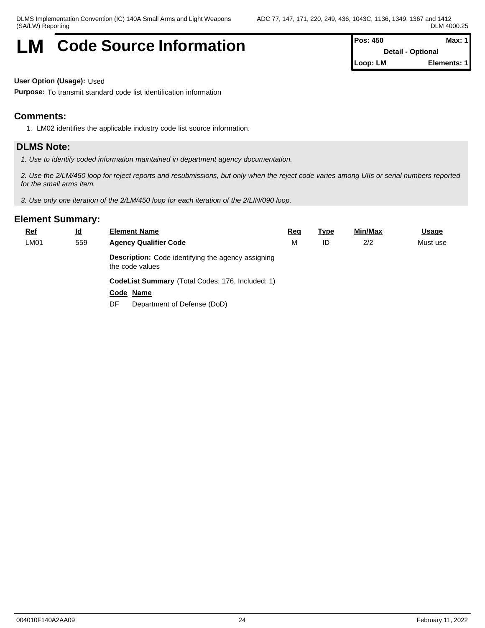# **LM** Code Source Information **Pos: 450** Max: 1

**Detail - Optional Loop: LM Elements: 1**

### **User Option (Usage):** Used

**Purpose:** To transmit standard code list identification information

# **Comments:**

1. LM02 identifies the applicable industry code list source information.

### **DLMS Note:**

*1. Use to identify coded information maintained in department agency documentation.*

*2. Use the 2/LM/450 loop for reject reports and resubmissions, but only when the reject code varies among UIIs or serial numbers reported for the small arms item.*

*3. Use only one iteration of the 2/LM/450 loop for each iteration of the 2/LIN/090 loop.*

| <u>Ref</u>  | $\underline{\mathsf{Id}}$ | <b>Element Name</b>                                                          | <u>Req</u> | <u>Type</u> | Min/Max | <b>Usage</b> |
|-------------|---------------------------|------------------------------------------------------------------------------|------------|-------------|---------|--------------|
| <b>LM01</b> | 559                       | <b>Agency Qualifier Code</b>                                                 | M          | ID          | 2/2     | Must use     |
|             |                           | <b>Description:</b> Code identifying the agency assigning<br>the code values |            |             |         |              |
|             |                           | <b>CodeList Summary (Total Codes: 176, Included: 1)</b>                      |            |             |         |              |
|             |                           | Code Name                                                                    |            |             |         |              |
|             |                           | Department of Defense (DoD)<br>DF.                                           |            |             |         |              |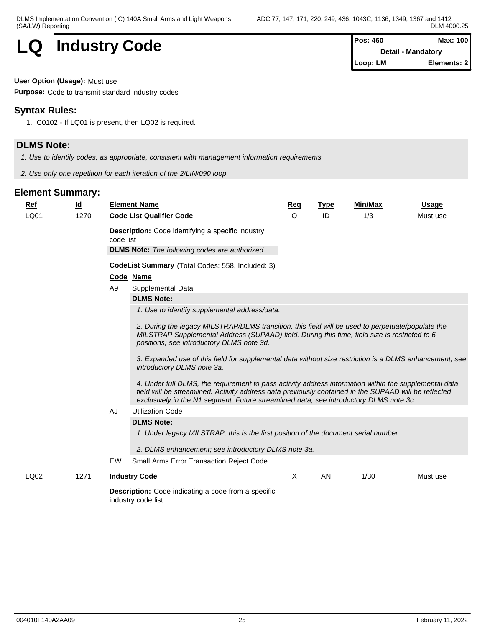# **LQ** Industry Code

| <b>Pos: 460</b> | Max: 100           |
|-----------------|--------------------|
|                 | Detail - Mandatory |
| Loop: LM        | Elements: 2        |

### **User Option (Usage):** Must use

**Purpose:** Code to transmit standard industry codes

# **Syntax Rules:**

1. C0102 - If LQ01 is present, then LQ02 is required.

# **DLMS Note:**

*1. Use to identify codes, as appropriate, consistent with management information requirements.*

*2. Use only one repetition for each iteration of the 2/LIN/090 loop.*

| $Ref$ | $\underline{\mathsf{Id}}$ | <b>Element Name</b>                                                                                                                                                                                                                                                                                                                                                                                                                                                                                                                                                                                                                                                                                                                                                                                                                               | Req     | <b>Type</b> | <b>Min/Max</b> | <b>Usage</b> |
|-------|---------------------------|---------------------------------------------------------------------------------------------------------------------------------------------------------------------------------------------------------------------------------------------------------------------------------------------------------------------------------------------------------------------------------------------------------------------------------------------------------------------------------------------------------------------------------------------------------------------------------------------------------------------------------------------------------------------------------------------------------------------------------------------------------------------------------------------------------------------------------------------------|---------|-------------|----------------|--------------|
| LQ01  | 1270                      | <b>Code List Qualifier Code</b>                                                                                                                                                                                                                                                                                                                                                                                                                                                                                                                                                                                                                                                                                                                                                                                                                   | $\circ$ | ID          | 1/3            | Must use     |
|       |                           | <b>Description:</b> Code identifying a specific industry<br>code list<br><b>DLMS Note:</b> The following codes are authorized.                                                                                                                                                                                                                                                                                                                                                                                                                                                                                                                                                                                                                                                                                                                    |         |             |                |              |
|       |                           | CodeList Summary (Total Codes: 558, Included: 3)                                                                                                                                                                                                                                                                                                                                                                                                                                                                                                                                                                                                                                                                                                                                                                                                  |         |             |                |              |
|       |                           | Code Name                                                                                                                                                                                                                                                                                                                                                                                                                                                                                                                                                                                                                                                                                                                                                                                                                                         |         |             |                |              |
|       |                           | A <sub>9</sub><br>Supplemental Data                                                                                                                                                                                                                                                                                                                                                                                                                                                                                                                                                                                                                                                                                                                                                                                                               |         |             |                |              |
|       |                           | <b>DLMS Note:</b>                                                                                                                                                                                                                                                                                                                                                                                                                                                                                                                                                                                                                                                                                                                                                                                                                                 |         |             |                |              |
|       |                           | 1. Use to identify supplemental address/data.                                                                                                                                                                                                                                                                                                                                                                                                                                                                                                                                                                                                                                                                                                                                                                                                     |         |             |                |              |
|       |                           | 2. During the legacy MILSTRAP/DLMS transition, this field will be used to perpetuate/populate the<br>MILSTRAP Supplemental Address (SUPAAD) field. During this time, field size is restricted to 6<br>positions; see introductory DLMS note 3d.<br>3. Expanded use of this field for supplemental data without size restriction is a DLMS enhancement; see<br>introductory DLMS note 3a.<br>4. Under full DLMS, the requirement to pass activity address information within the supplemental data<br>field will be streamlined. Activity address data previously contained in the SUPAAD will be reflected<br>exclusively in the N1 segment. Future streamlined data; see introductory DLMS note 3c.<br>AJ<br><b>Utilization Code</b><br><b>DLMS Note:</b><br>1. Under legacy MILSTRAP, this is the first position of the document serial number. |         |             |                |              |
|       |                           | 2. DLMS enhancement; see introductory DLMS note 3a.                                                                                                                                                                                                                                                                                                                                                                                                                                                                                                                                                                                                                                                                                                                                                                                               |         |             |                |              |
|       |                           | EW<br><b>Small Arms Error Transaction Reject Code</b>                                                                                                                                                                                                                                                                                                                                                                                                                                                                                                                                                                                                                                                                                                                                                                                             |         |             |                |              |
|       |                           |                                                                                                                                                                                                                                                                                                                                                                                                                                                                                                                                                                                                                                                                                                                                                                                                                                                   |         |             |                |              |
| LQ02  | 1271                      | <b>Industry Code</b>                                                                                                                                                                                                                                                                                                                                                                                                                                                                                                                                                                                                                                                                                                                                                                                                                              | X       | AN.         | 1/30           | Must use     |
|       |                           | <b>Description:</b> Code indicating a code from a specific<br>industry code list                                                                                                                                                                                                                                                                                                                                                                                                                                                                                                                                                                                                                                                                                                                                                                  |         |             |                |              |